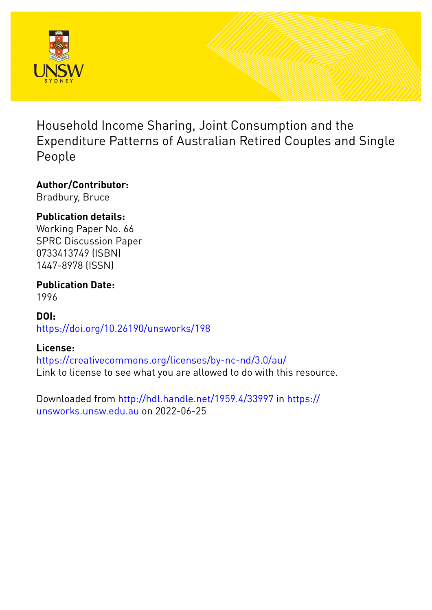

Household Income Sharing, Joint Consumption and the Expenditure Patterns of Australian Retired Couples and Single People

## **Author/Contributor:**

Bradbury, Bruce

## **Publication details:**

Working Paper No. 66 SPRC Discussion Paper 0733413749 (ISBN) 1447-8978 (ISSN)

**Publication Date:**

1996

**DOI:** [https://doi.org/10.26190/unsworks/198](http://dx.doi.org/https://doi.org/10.26190/unsworks/198)

## **License:**

<https://creativecommons.org/licenses/by-nc-nd/3.0/au/> Link to license to see what you are allowed to do with this resource.

Downloaded from <http://hdl.handle.net/1959.4/33997> in [https://](https://unsworks.unsw.edu.au) [unsworks.unsw.edu.au](https://unsworks.unsw.edu.au) on 2022-06-25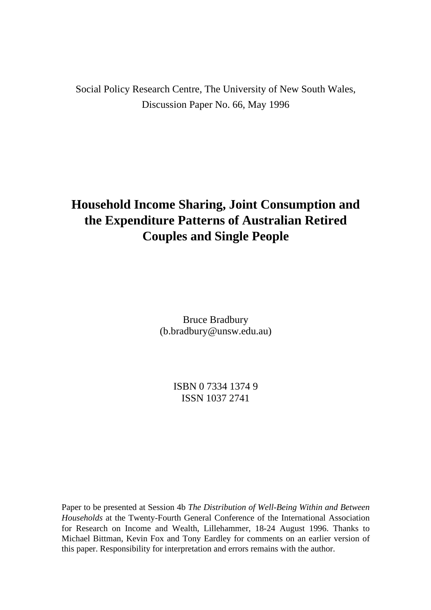Social Policy Research Centre, The University of New South Wales, Discussion Paper No. 66, May 1996

# **Household Income Sharing, Joint Consumption and the Expenditure Patterns of Australian Retired Couples and Single People**

Bruce Bradbury (b.bradbury@unsw.edu.au)

> ISBN 0 7334 1374 9 ISSN 1037 2741

Paper to be presented at Session 4b *The Distribution of Well-Being Within and Between Households* at the Twenty-Fourth General Conference of the International Association for Research on Income and Wealth, Lillehammer, 18-24 August 1996. Thanks to Michael Bittman, Kevin Fox and Tony Eardley for comments on an earlier version of this paper. Responsibility for interpretation and errors remains with the author.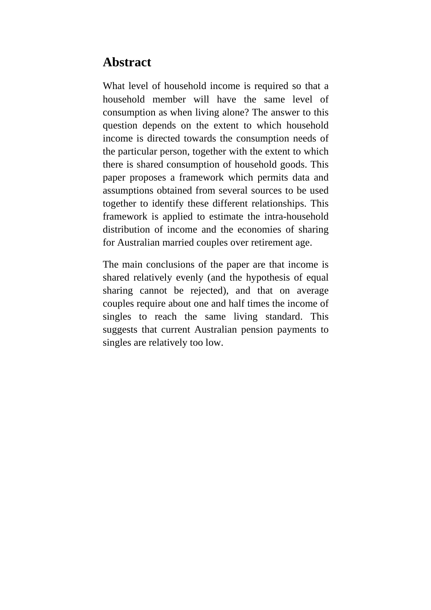## **Abstract**

What level of household income is required so that a household member will have the same level of consumption as when living alone? The answer to this question depends on the extent to which household income is directed towards the consumption needs of the particular person, together with the extent to which there is shared consumption of household goods. This paper proposes a framework which permits data and assumptions obtained from several sources to be used together to identify these different relationships. This framework is applied to estimate the intra-household distribution of income and the economies of sharing for Australian married couples over retirement age.

The main conclusions of the paper are that income is shared relatively evenly (and the hypothesis of equal sharing cannot be rejected), and that on average couples require about one and half times the income of singles to reach the same living standard. This suggests that current Australian pension payments to singles are relatively too low.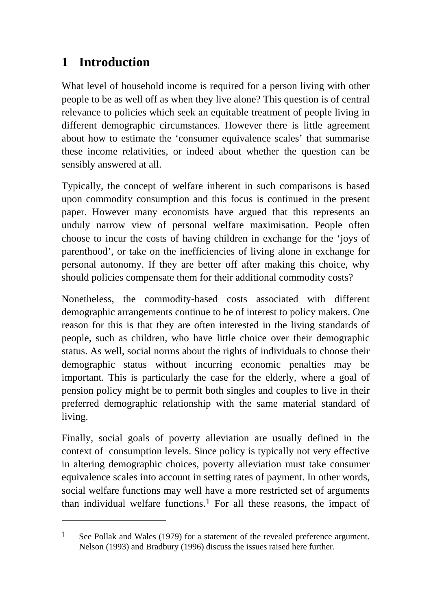# **1 Introduction**

 $\overline{a}$ 

What level of household income is required for a person living with other people to be as well off as when they live alone? This question is of central relevance to policies which seek an equitable treatment of people living in different demographic circumstances. However there is little agreement about how to estimate the 'consumer equivalence scales' that summarise these income relativities, or indeed about whether the question can be sensibly answered at all.

Typically, the concept of welfare inherent in such comparisons is based upon commodity consumption and this focus is continued in the present paper. However many economists have argued that this represents an unduly narrow view of personal welfare maximisation. People often choose to incur the costs of having children in exchange for the 'joys of parenthood', or take on the inefficiencies of living alone in exchange for personal autonomy. If they are better off after making this choice, why should policies compensate them for their additional commodity costs?

Nonetheless, the commodity-based costs associated with different demographic arrangements continue to be of interest to policy makers. One reason for this is that they are often interested in the living standards of people, such as children, who have little choice over their demographic status. As well, social norms about the rights of individuals to choose their demographic status without incurring economic penalties may be important. This is particularly the case for the elderly, where a goal of pension policy might be to permit both singles and couples to live in their preferred demographic relationship with the same material standard of living.

Finally, social goals of poverty alleviation are usually defined in the context of consumption levels. Since policy is typically not very effective in altering demographic choices, poverty alleviation must take consumer equivalence scales into account in setting rates of payment. In other words, social welfare functions may well have a more restricted set of arguments than individual welfare functions.<sup>1</sup> For all these reasons, the impact of

<sup>1</sup> See Pollak and Wales (1979) for a statement of the revealed preference argument. Nelson (1993) and Bradbury (1996) discuss the issues raised here further.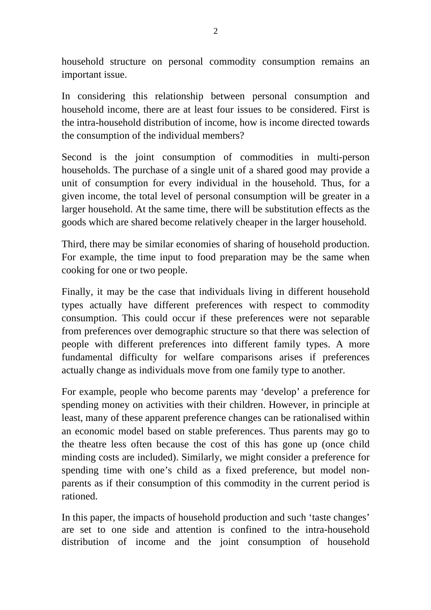household structure on personal commodity consumption remains an important issue.

In considering this relationship between personal consumption and household income, there are at least four issues to be considered. First is the intra-household distribution of income, how is income directed towards the consumption of the individual members?

Second is the joint consumption of commodities in multi-person households. The purchase of a single unit of a shared good may provide a unit of consumption for every individual in the household. Thus, for a given income, the total level of personal consumption will be greater in a larger household. At the same time, there will be substitution effects as the goods which are shared become relatively cheaper in the larger household.

Third, there may be similar economies of sharing of household production. For example, the time input to food preparation may be the same when cooking for one or two people.

Finally, it may be the case that individuals living in different household types actually have different preferences with respect to commodity consumption. This could occur if these preferences were not separable from preferences over demographic structure so that there was selection of people with different preferences into different family types. A more fundamental difficulty for welfare comparisons arises if preferences actually change as individuals move from one family type to another.

For example, people who become parents may 'develop' a preference for spending money on activities with their children. However, in principle at least, many of these apparent preference changes can be rationalised within an economic model based on stable preferences. Thus parents may go to the theatre less often because the cost of this has gone up (once child minding costs are included). Similarly, we might consider a preference for spending time with one's child as a fixed preference, but model nonparents as if their consumption of this commodity in the current period is rationed.

In this paper, the impacts of household production and such 'taste changes' are set to one side and attention is confined to the intra-household distribution of income and the joint consumption of household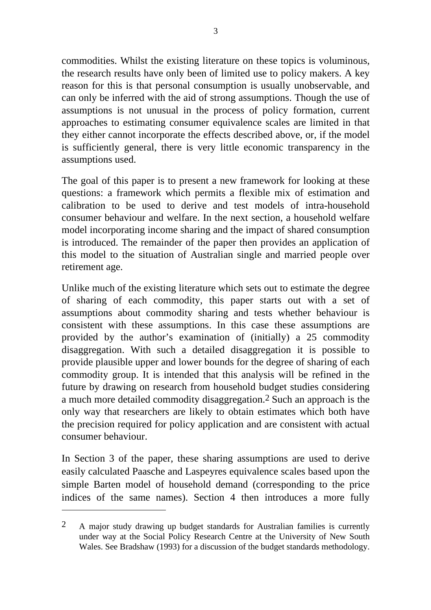commodities. Whilst the existing literature on these topics is voluminous, the research results have only been of limited use to policy makers. A key reason for this is that personal consumption is usually unobservable, and can only be inferred with the aid of strong assumptions. Though the use of assumptions is not unusual in the process of policy formation, current approaches to estimating consumer equivalence scales are limited in that they either cannot incorporate the effects described above, or, if the model is sufficiently general, there is very little economic transparency in the assumptions used.

The goal of this paper is to present a new framework for looking at these questions: a framework which permits a flexible mix of estimation and calibration to be used to derive and test models of intra-household consumer behaviour and welfare. In the next section, a household welfare model incorporating income sharing and the impact of shared consumption is introduced. The remainder of the paper then provides an application of this model to the situation of Australian single and married people over retirement age.

Unlike much of the existing literature which sets out to estimate the degree of sharing of each commodity, this paper starts out with a set of assumptions about commodity sharing and tests whether behaviour is consistent with these assumptions. In this case these assumptions are provided by the author's examination of (initially) a 25 commodity disaggregation. With such a detailed disaggregation it is possible to provide plausible upper and lower bounds for the degree of sharing of each commodity group. It is intended that this analysis will be refined in the future by drawing on research from household budget studies considering a much more detailed commodity disaggregation.2 Such an approach is the only way that researchers are likely to obtain estimates which both have the precision required for policy application and are consistent with actual consumer behaviour.

In Section 3 of the paper, these sharing assumptions are used to derive easily calculated Paasche and Laspeyres equivalence scales based upon the simple Barten model of household demand (corresponding to the price indices of the same names). Section 4 then introduces a more fully

<sup>2</sup> A major study drawing up budget standards for Australian families is currently under way at the Social Policy Research Centre at the University of New South Wales. See Bradshaw (1993) for a discussion of the budget standards methodology.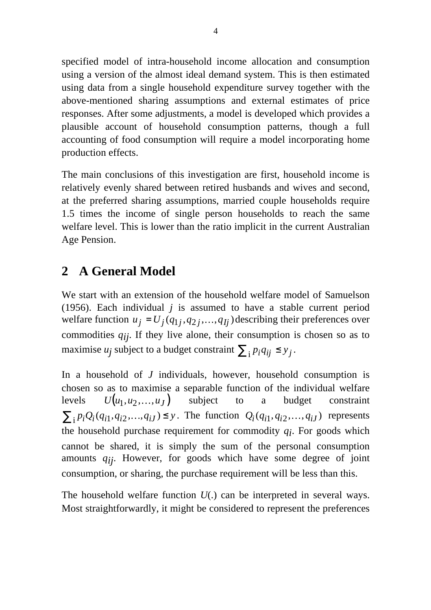specified model of intra-household income allocation and consumption using a version of the almost ideal demand system. This is then estimated using data from a single household expenditure survey together with the above-mentioned sharing assumptions and external estimates of price responses. After some adjustments, a model is developed which provides a plausible account of household consumption patterns, though a full accounting of food consumption will require a model incorporating home production effects.

The main conclusions of this investigation are first, household income is relatively evenly shared between retired husbands and wives and second, at the preferred sharing assumptions, married couple households require 1.5 times the income of single person households to reach the same welfare level. This is lower than the ratio implicit in the current Australian Age Pension.

# **2 A General Model**

We start with an extension of the household welfare model of Samuelson (1956). Each individual *j* is assumed to have a stable current period welfare function  $u_j = U_j(q_{1j}, q_{2j}, \dots, q_{lj})$  describing their preferences over commodities *qij* . If they live alone, their consumption is chosen so as to maximise *u<sub>j</sub>* subject to a budget constraint  $\sum_{i} p_i q_{ij} \leq y_j$ .

In a household of *J* individuals, however, household consumption is chosen so as to maximise a separable function of the individual welfare levels  $U(u_1, u_2,...,u_J)$  subject to a budget constraint  $\sum_{i} p_i Q_i(q_{i1}, q_{i2}, \dots, q_{iJ}) \leq y$ . The function  $Q_i(q_{i1}, q_{i2}, \dots, q_{iJ})$  represents the household purchase requirement for commodity *qi* . For goods which cannot be shared, it is simply the sum of the personal consumption amounts *qij* . However, for goods which have some degree of joint consumption, or sharing, the purchase requirement will be less than this.

The household welfare function *U*(.) can be interpreted in several ways. Most straightforwardly, it might be considered to represent the preferences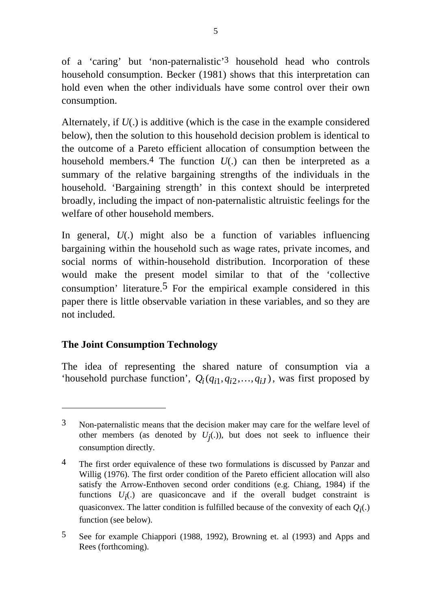of a 'caring' but 'non-paternalistic'3 household head who controls household consumption. Becker (1981) shows that this interpretation can hold even when the other individuals have some control over their own consumption.

Alternately, if *U*(.) is additive (which is the case in the example considered below), then the solution to this household decision problem is identical to the outcome of a Pareto efficient allocation of consumption between the household members.4 The function *U*(.) can then be interpreted as a summary of the relative bargaining strengths of the individuals in the household. 'Bargaining strength' in this context should be interpreted broadly, including the impact of non-paternalistic altruistic feelings for the welfare of other household members.

In general, *U*(.) might also be a function of variables influencing bargaining within the household such as wage rates, private incomes, and social norms of within-household distribution. Incorporation of these would make the present model similar to that of the 'collective consumption' literature.<sup>5</sup> For the empirical example considered in this paper there is little observable variation in these variables, and so they are not included.

### **The Joint Consumption Technology**

 $\overline{a}$ 

The idea of representing the shared nature of consumption via a 'household purchase function',  $Q_i(q_{i1}, q_{i2},..., q_{iJ})$ , was first proposed by

<sup>3</sup> Non-paternalistic means that the decision maker may care for the welfare level of other members (as denoted by  $U_j(.)$ ), but does not seek to influence their consumption directly.

<sup>&</sup>lt;sup>4</sup> The first order equivalence of these two formulations is discussed by Panzar and Willig (1976). The first order condition of the Pareto efficient allocation will also satisfy the Arrow-Enthoven second order conditions (e.g. Chiang, 1984) if the functions  $U_i(.)$  are quasiconcave and if the overall budget constraint is quasiconvex. The latter condition is fulfilled because of the convexity of each *Qi* (.) function (see below).

<sup>5</sup> See for example Chiappori (1988, 1992), Browning et. al (1993) and Apps and Rees (forthcoming).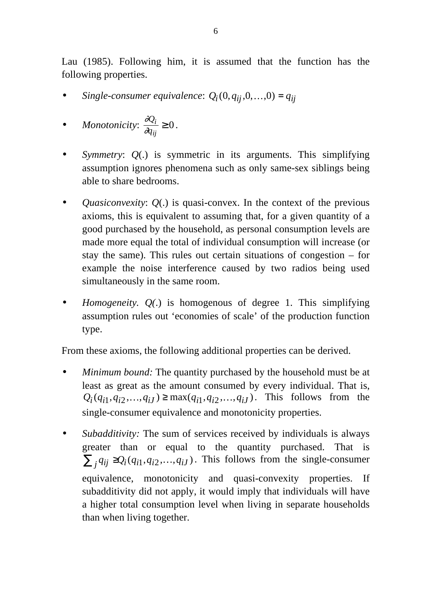Lau (1985). Following him, it is assumed that the function has the following properties.

- *Single-consumer equivalence:*  $Q_i(0, q_{ij}, 0, \ldots, 0) = q_{ij}$
- *Monotonicity*:  $\frac{\partial g}{\partial x}$ ∂ *Q q i ij*  $\geq 0$ .
- *Symmetry*: *Q*(.) is symmetric in its arguments. This simplifying assumption ignores phenomena such as only same-sex siblings being able to share bedrooms.
- *Quasiconvexity*: *Q*(.) is quasi-convex. In the context of the previous axioms, this is equivalent to assuming that, for a given quantity of a good purchased by the household, as personal consumption levels are made more equal the total of individual consumption will increase (or stay the same). This rules out certain situations of congestion – for example the noise interference caused by two radios being used simultaneously in the same room.
- *Homogeneity. Q(*.) is homogenous of degree 1. This simplifying assumption rules out 'economies of scale' of the production function type.

From these axioms, the following additional properties can be derived.

- *Minimum bound:* The quantity purchased by the household must be at least as great as the amount consumed by every individual. That is,  $Q_i(q_{i1}, q_{i2},..., q_{iJ}) \ge \max(q_{i1}, q_{i2},..., q_{iJ})$ . This follows from the single-consumer equivalence and monotonicity properties.
- *Subadditivity:* The sum of services received by individuals is always greater than or equal to the quantity purchased. That is  $\sum_{j} q_{ij} \geq Q_i(q_{i1}, q_{i2}, \ldots, q_{iJ})$ . This follows from the single-consumer equivalence, monotonicity and quasi-convexity properties. If subadditivity did not apply, it would imply that individuals will have a higher total consumption level when living in separate households than when living together.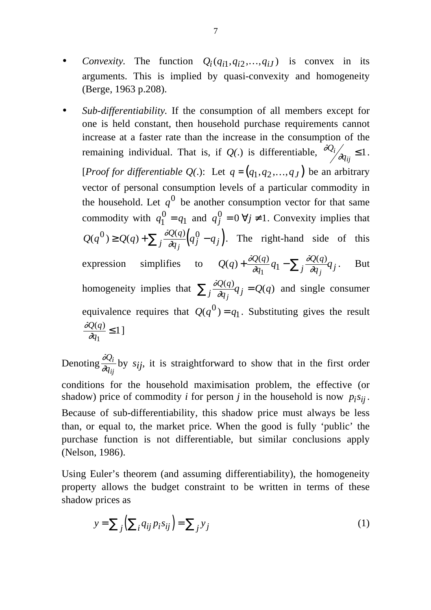- *Convexity*. The function  $Q_i(q_{i1}, q_{i2},..., q_{iJ})$  is convex in its arguments. This is implied by quasi-convexity and homogeneity (Berge, 1963 p.208).
- *Sub-differentiability.* If the consumption of all members except for one is held constant, then household purchase requirements cannot increase at a faster rate than the increase in the consumption of the remaining individual. That is, if *Q(*.) is differentiable, ∂ ∂ *Q*  $\frac{i}{dq}$  $\sum_{ij} \leq 1$ . [*Proof for differentiable Q(.)*: Let  $q = (q_1, q_2, ..., q_J)$  be an arbitrary vector of personal consumption levels of a particular commodity in the household. Let  $q^0$  be another consumption vector for that same commodity with  $q_1^0 = q$  $q_1^0 = q_1$  and  $q_j^0 = 0 \; \forall j$  $0_i^0 = 0 \,\forall j \neq 1$ . Convexity implies that  $Q(q^{0}) \geq Q(q) + \sum_{i} \frac{\partial Q(q)}{\partial q_{i}} \left( q_{j}^{0} - q_{j} \right)$  $j \overline{a_{qj}}(q_j - q_j)$  $(q^{0}) \geq Q(q) + \sum_{i} \frac{\partial Q(q)}{\partial q} \left( q^{0}_{j} - q^{0}_{j} \right)$  $\frac{Q(q)}{dq}$  (q<sup>0</sup> – q<sub>j</sub>). The right-hand side of this expression simplifies to  $Q(q) + \frac{\partial Q(q)}{\partial q}q_1 - \sum_i \frac{\partial Q(q)}{\partial q}q_i$ *q Q q*  $j \overline{\partial q_j}^q$  $(q) + \frac{\partial Q(q)}{\partial q_1}q_1 - \sum_i \frac{\partial Q(q)}{\partial q_i}$ ∂  $\tilde{o}$ (  $\frac{1}{1}q_1 - \sum_j \overline{\partial_q}$ . But homogeneity implies that  $\sum_i \frac{\partial g}{\partial x_i}$ ∂ *Q q*  $j \overline{\partial q_j} q_j$  $\sum_{i} \frac{\partial Q(q)}{\partial q_i} q_j = Q(q)$  and single consumer equivalence requires that  $Q(q^0) = q_1$ . Substituting gives the result  $\tilde{o}$ ( ∂ *Q q q*  $(q)$ 1  $\leq 1$ ]

Denoting  $\frac{\partial g}{\partial x}$ ∂ *Q q i*  $\frac{z_i}{w_i}$  by *s<sub>ij</sub>*, it is straightforward to show that in the first order conditions for the household maximisation problem, the effective (or shadow) price of commodity *i* for person *j* in the household is now  $p_i s_{ij}$ . Because of sub-differentiability, this shadow price must always be less than, or equal to, the market price. When the good is fully 'public' the purchase function is not differentiable, but similar conclusions apply (Nelson, 1986).

Using Euler's theorem (and assuming differentiability), the homogeneity property allows the budget constraint to be written in terms of these shadow prices as

$$
y = \sum_{j} \left( \sum_{i} q_{ij} p_i s_{ij} \right) = \sum_{j} y_j \tag{1}
$$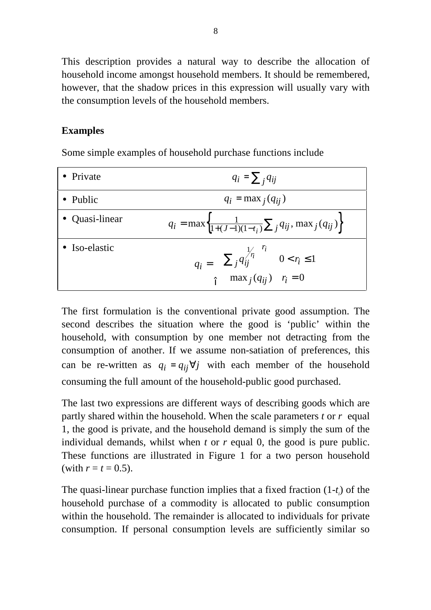This description provides a natural way to describe the allocation of household income amongst household members. It should be remembered, however, that the shadow prices in this expression will usually vary with the consumption levels of the household members.

#### **Examples**

Some simple examples of household purchase functions include

| • Private      | $q_i = \sum_i q_{ij}$                                                                                                         |
|----------------|-------------------------------------------------------------------------------------------------------------------------------|
| • Public       | $q_i = \max_j (q_{ij})$                                                                                                       |
| • Quasi-linear | $q_i = \max\left\{\frac{1}{1+(J-1)(1-t_i)}\sum_j q_{ij}, \max_j (q_{ij})\right\}$                                             |
| • Iso-elastic  | $q_i = \n\begin{cases} \n\left(\sum_j q_{ij}^{1/r_j}\right)^{r_i} & 0 < r_i \leq 1 \\ \max_j (q_{ij}) & r_i = 0\n\end{cases}$ |

The first formulation is the conventional private good assumption. The second describes the situation where the good is 'public' within the household, with consumption by one member not detracting from the consumption of another. If we assume non-satiation of preferences, this can be re-written as  $q_i = q_{ij} \forall j$  with each member of the household consuming the full amount of the household-public good purchased.

The last two expressions are different ways of describing goods which are partly shared within the household. When the scale parameters *t* or *r* equal 1, the good is private, and the household demand is simply the sum of the individual demands, whilst when *t* or *r* equal 0, the good is pure public. These functions are illustrated in Figure 1 for a two person household (with  $r = t = 0.5$ ).

The quasi-linear purchase function implies that a fixed fraction (1-*t i* ) of the household purchase of a commodity is allocated to public consumption within the household. The remainder is allocated to individuals for private consumption. If personal consumption levels are sufficiently similar so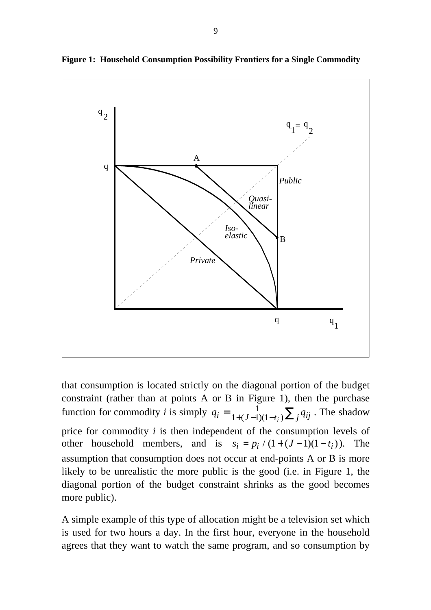

**Figure 1: Household Consumption Possibility Frontiers for a Single Commodity**

that consumption is located strictly on the diagonal portion of the budget constraint (rather than at points A or B in Figure 1), then the purchase function for commodity *i* is simply  $q_i = \frac{1}{1 + (J-1)(1-t_i)} \sum_j q_{ij}$  $=\frac{1}{1+(J-1)(1-t_i)}\sum$  $\frac{1}{1+(J-1)(1-t_i)}\sum_j q_{ij}$ . The shadow price for commodity *i* is then independent of the consumption levels of other household members, and is  $s_i = p_i / (1 + (J - 1)(1 - t_i))$ . The assumption that consumption does not occur at end-points A or B is more likely to be unrealistic the more public is the good (i.e. in Figure 1, the diagonal portion of the budget constraint shrinks as the good becomes more public).

A simple example of this type of allocation might be a television set which is used for two hours a day. In the first hour, everyone in the household agrees that they want to watch the same program, and so consumption by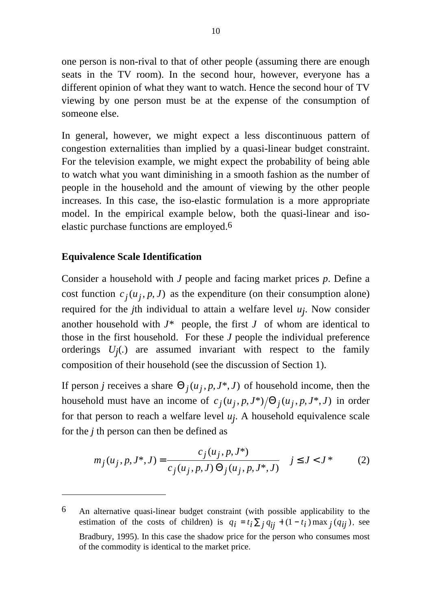one person is non-rival to that of other people (assuming there are enough seats in the TV room). In the second hour, however, everyone has a different opinion of what they want to watch. Hence the second hour of TV viewing by one person must be at the expense of the consumption of someone else.

In general, however, we might expect a less discontinuous pattern of congestion externalities than implied by a quasi-linear budget constraint. For the television example, we might expect the probability of being able to watch what you want diminishing in a smooth fashion as the number of people in the household and the amount of viewing by the other people increases. In this case, the iso-elastic formulation is a more appropriate model. In the empirical example below, both the quasi-linear and isoelastic purchase functions are employed.6

#### **Equivalence Scale Identification**

 $\overline{a}$ 

Consider a household with *J* people and facing market prices *p*. Define a cost function  $c_j(u_j, p, J)$  as the expenditure (on their consumption alone) required for the *j*th individual to attain a welfare level *uj* . Now consider another household with  $J^*$  people, the first  $J$  of whom are identical to those in the first household. For these *J* people the individual preference orderings *Uj* (*.*) are assumed invariant with respect to the family composition of their household (see the discussion of Section 1).

If person *j* receives a share  $\Theta_j(u_j, p, J^*, J)$  of household income, then the household must have an income of  $c_j(u_j, p, J^*)/\Theta_j(u_j, p, J^*, J)$  in order for that person to reach a welfare level *uj* . A household equivalence scale for the *j* th person can then be defined as

$$
m_j(u_j, p, J^*, J) = \frac{c_j(u_j, p, J^*)}{c_j(u_j, p, J) \Theta_j(u_j, p, J^*, J)} \quad j \le J < J^* \tag{2}
$$

<sup>6</sup> An alternative quasi-linear budget constraint (with possible applicability to the estimation of the costs of children) is  $q_i = t_i \sum_j q_{ij} + (1 - t_i) \max_j (q_{ij})$ , see Bradbury, 1995). In this case the shadow price for the person who consumes most of the commodity is identical to the market price.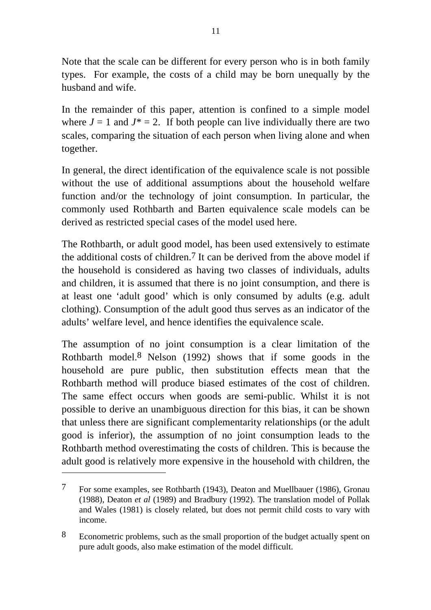Note that the scale can be different for every person who is in both family types. For example, the costs of a child may be born unequally by the husband and wife.

In the remainder of this paper, attention is confined to a simple model where  $J = 1$  and  $J^* = 2$ . If both people can live individually there are two scales, comparing the situation of each person when living alone and when together.

In general, the direct identification of the equivalence scale is not possible without the use of additional assumptions about the household welfare function and/or the technology of joint consumption. In particular, the commonly used Rothbarth and Barten equivalence scale models can be derived as restricted special cases of the model used here.

The Rothbarth, or adult good model, has been used extensively to estimate the additional costs of children.<sup>7</sup> It can be derived from the above model if the household is considered as having two classes of individuals, adults and children, it is assumed that there is no joint consumption, and there is at least one 'adult good' which is only consumed by adults (e.g. adult clothing). Consumption of the adult good thus serves as an indicator of the adults' welfare level, and hence identifies the equivalence scale.

The assumption of no joint consumption is a clear limitation of the Rothbarth model.8 Nelson (1992) shows that if some goods in the household are pure public, then substitution effects mean that the Rothbarth method will produce biased estimates of the cost of children. The same effect occurs when goods are semi-public. Whilst it is not possible to derive an unambiguous direction for this bias, it can be shown that unless there are significant complementarity relationships (or the adult good is inferior), the assumption of no joint consumption leads to the Rothbarth method overestimating the costs of children. This is because the adult good is relatively more expensive in the household with children, the

<sup>7</sup> For some examples, see Rothbarth (1943), Deaton and Muellbauer (1986), Gronau (1988), Deaton *et al* (1989) and Bradbury (1992). The translation model of Pollak and Wales (1981) is closely related, but does not permit child costs to vary with income.

<sup>8</sup> Econometric problems, such as the small proportion of the budget actually spent on pure adult goods, also make estimation of the model difficult.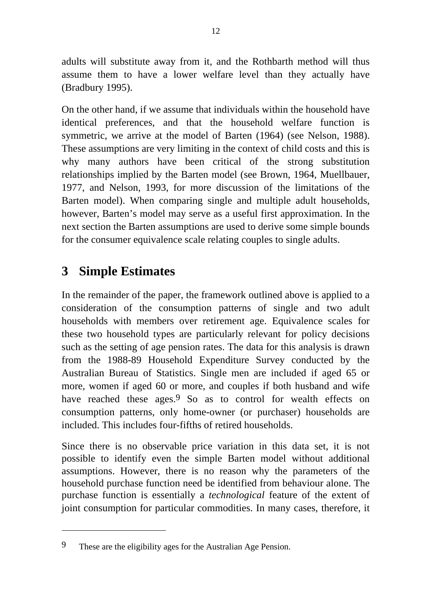adults will substitute away from it, and the Rothbarth method will thus assume them to have a lower welfare level than they actually have (Bradbury 1995).

On the other hand, if we assume that individuals within the household have identical preferences, and that the household welfare function is symmetric, we arrive at the model of Barten (1964) (see Nelson, 1988). These assumptions are very limiting in the context of child costs and this is why many authors have been critical of the strong substitution relationships implied by the Barten model (see Brown, 1964, Muellbauer, 1977, and Nelson, 1993, for more discussion of the limitations of the Barten model). When comparing single and multiple adult households, however, Barten's model may serve as a useful first approximation. In the next section the Barten assumptions are used to derive some simple bounds for the consumer equivalence scale relating couples to single adults.

# **3 Simple Estimates**

 $\overline{a}$ 

In the remainder of the paper, the framework outlined above is applied to a consideration of the consumption patterns of single and two adult households with members over retirement age. Equivalence scales for these two household types are particularly relevant for policy decisions such as the setting of age pension rates. The data for this analysis is drawn from the 1988-89 Household Expenditure Survey conducted by the Australian Bureau of Statistics. Single men are included if aged 65 or more, women if aged 60 or more, and couples if both husband and wife have reached these ages.<sup>9</sup> So as to control for wealth effects on consumption patterns, only home-owner (or purchaser) households are included. This includes four-fifths of retired households.

Since there is no observable price variation in this data set, it is not possible to identify even the simple Barten model without additional assumptions. However, there is no reason why the parameters of the household purchase function need be identified from behaviour alone. The purchase function is essentially a *technological* feature of the extent of joint consumption for particular commodities. In many cases, therefore, it

<sup>9</sup> These are the eligibility ages for the Australian Age Pension.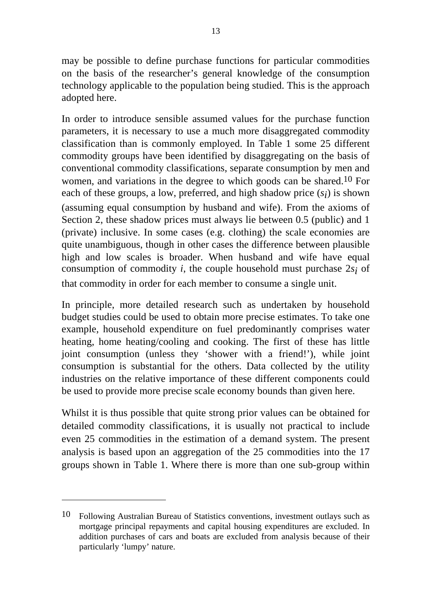may be possible to define purchase functions for particular commodities on the basis of the researcher's general knowledge of the consumption technology applicable to the population being studied. This is the approach adopted here.

In order to introduce sensible assumed values for the purchase function parameters, it is necessary to use a much more disaggregated commodity classification than is commonly employed. In Table 1 some 25 different commodity groups have been identified by disaggregating on the basis of conventional commodity classifications, separate consumption by men and women, and variations in the degree to which goods can be shared.10 For each of these groups, a low, preferred, and high shadow price  $(s_i)$  is shown (assuming equal consumption by husband and wife). From the axioms of Section 2, these shadow prices must always lie between 0.5 (public) and 1 (private) inclusive. In some cases (e.g. clothing) the scale economies are quite unambiguous, though in other cases the difference between plausible high and low scales is broader. When husband and wife have equal consumption of commodity *i*, the couple household must purchase 2*si* of that commodity in order for each member to consume a single unit.

In principle, more detailed research such as undertaken by household budget studies could be used to obtain more precise estimates. To take one example, household expenditure on fuel predominantly comprises water heating, home heating/cooling and cooking. The first of these has little joint consumption (unless they 'shower with a friend!'), while joint consumption is substantial for the others. Data collected by the utility industries on the relative importance of these different components could be used to provide more precise scale economy bounds than given here.

Whilst it is thus possible that quite strong prior values can be obtained for detailed commodity classifications, it is usually not practical to include even 25 commodities in the estimation of a demand system. The present analysis is based upon an aggregation of the 25 commodities into the 17 groups shown in Table 1. Where there is more than one sub-group within

<sup>10</sup> Following Australian Bureau of Statistics conventions, investment outlays such as mortgage principal repayments and capital housing expenditures are excluded. In addition purchases of cars and boats are excluded from analysis because of their particularly 'lumpy' nature.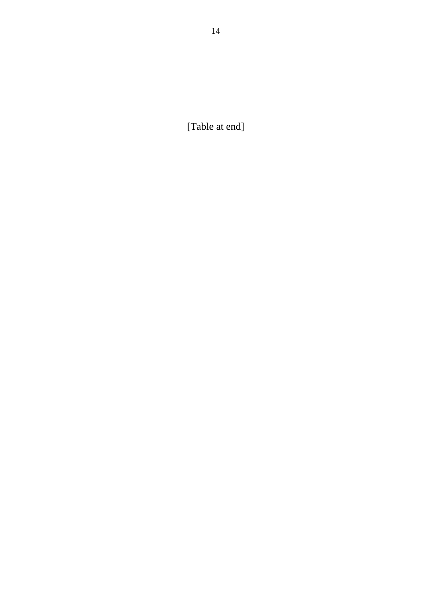14

[Table at end]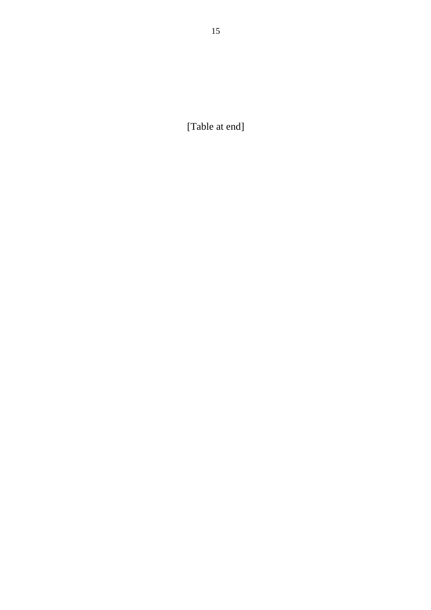[Table at end]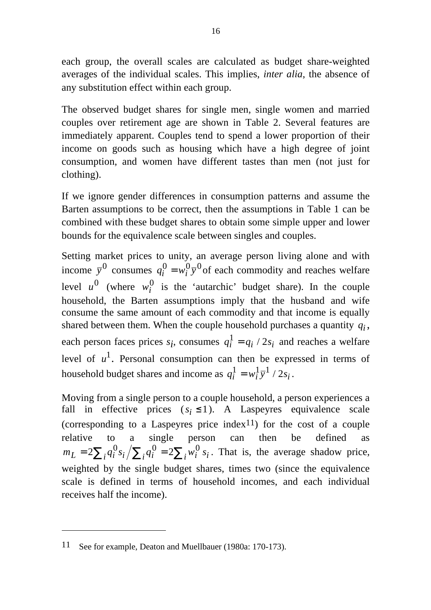each group, the overall scales are calculated as budget share-weighted averages of the individual scales. This implies, *inter alia*, the absence of any substitution effect within each group.

The observed budget shares for single men, single women and married couples over retirement age are shown in Table 2. Several features are immediately apparent. Couples tend to spend a lower proportion of their income on goods such as housing which have a high degree of joint consumption, and women have different tastes than men (not just for clothing).

If we ignore gender differences in consumption patterns and assume the Barten assumptions to be correct, then the assumptions in Table 1 can be combined with these budget shares to obtain some simple upper and lower bounds for the equivalence scale between singles and couples.

Setting market prices to unity, an average person living alone and with income  $\bar{y}^0$  consumes  $q_i^0 = w_i^0 \bar{y}^0$  of each commodity and reaches welfare level  $u^0$  (where  $w_i^0$  is the 'autarchic' budget share). In the couple household, the Barten assumptions imply that the husband and wife consume the same amount of each commodity and that income is equally shared between them. When the couple household purchases a quantity *qi* , each person faces prices  $s_i$ , consumes  $q_i^1 = q_i / 2s_i$  and reaches a welfare level of  $u^1$ . Personal consumption can then be expressed in terms of household budget shares and income as  $q_i^1 = w_i^1 \bar{y}^1 / 2s_i$ .

Moving from a single person to a couple household, a person experiences a fall in effective prices  $(s_i \le 1)$ . A Laspeyres equivalence scale (corresponding to a Laspeyres price index11) for the cost of a couple relative to a single person can then be defined as  $m_L = 2\sum_i q_i^0 s_i / \sum_i q_i^0 = 2\sum_i w_i^0 s_i$ . That is, the average shadow price, weighted by the single budget shares, times two (since the equivalence scale is defined in terms of household incomes, and each individual receives half the income).

<sup>11</sup> See for example, Deaton and Muellbauer (1980a: 170-173).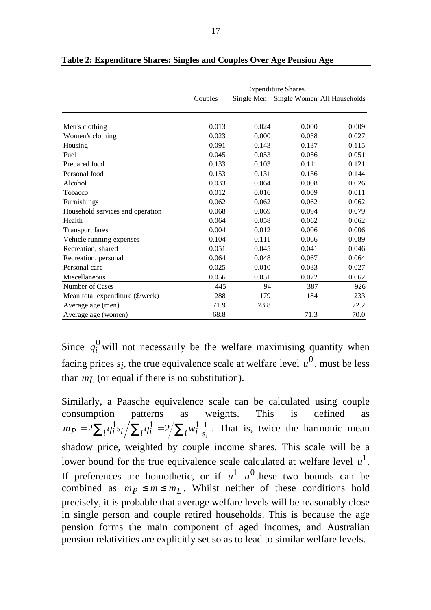|                                  |         |            | <b>Expenditure Shares</b> |                             |
|----------------------------------|---------|------------|---------------------------|-----------------------------|
|                                  | Couples | Single Men |                           | Single Women All Households |
|                                  |         |            |                           |                             |
| Men's clothing                   | 0.013   | 0.024      | 0.000                     | 0.009                       |
| Women's clothing                 | 0.023   | 0.000      | 0.038                     | 0.027                       |
| Housing                          | 0.091   | 0.143      | 0.137                     | 0.115                       |
| Fuel                             | 0.045   | 0.053      | 0.056                     | 0.051                       |
| Prepared food                    | 0.133   | 0.103      | 0.111                     | 0.121                       |
| Personal food                    | 0.153   | 0.131      | 0.136                     | 0.144                       |
| Alcohol                          | 0.033   | 0.064      | 0.008                     | 0.026                       |
| Tobacco                          | 0.012   | 0.016      | 0.009                     | 0.011                       |
| Furnishings                      | 0.062   | 0.062      | 0.062                     | 0.062                       |
| Household services and operation | 0.068   | 0.069      | 0.094                     | 0.079                       |
| Health                           | 0.064   | 0.058      | 0.062                     | 0.062                       |
| <b>Transport fares</b>           | 0.004   | 0.012      | 0.006                     | 0.006                       |
| Vehicle running expenses         | 0.104   | 0.111      | 0.066                     | 0.089                       |
| Recreation, shared               | 0.051   | 0.045      | 0.041                     | 0.046                       |
| Recreation, personal             | 0.064   | 0.048      | 0.067                     | 0.064                       |
| Personal care                    | 0.025   | 0.010      | 0.033                     | 0.027                       |
| Miscellaneous                    | 0.056   | 0.051      | 0.072                     | 0.062                       |
| Number of Cases                  | 445     | 94         | 387                       | 926                         |
| Mean total expenditure (\$/week) | 288     | 179        | 184                       | 233                         |
| Average age (men)                | 71.9    | 73.8       |                           | 72.2                        |
| Average age (women)              | 68.8    |            | 71.3                      | 70.0                        |

**Table 2: Expenditure Shares: Singles and Couples Over Age Pension Age**

Since  $q_i^0$  will not necessarily be the welfare maximising quantity when facing prices  $s_i$ , the true equivalence scale at welfare level  $u^0$ , must be less than  $m_l$  (or equal if there is no substitution).

Similarly, a Paasche equivalence scale can be calculated using couple consumption patterns as weights. This is defined as  $m_P = 2\sum_i q_i^1 s_i / \sum_i q_i^1 = 2 / \sum_i w_i^1 \frac{1}{s_i}$ . That is, twice the harmonic mean shadow price, weighted by couple income shares. This scale will be a lower bound for the true equivalence scale calculated at welfare level  $u^1$ . If preferences are homothetic, or if  $u^1 = u^0$  these two bounds can be combined as  $m_p \le m \le m_L$ . Whilst neither of these conditions hold precisely, it is probable that average welfare levels will be reasonably close in single person and couple retired households. This is because the age pension forms the main component of aged incomes, and Australian pension relativities are explicitly set so as to lead to similar welfare levels.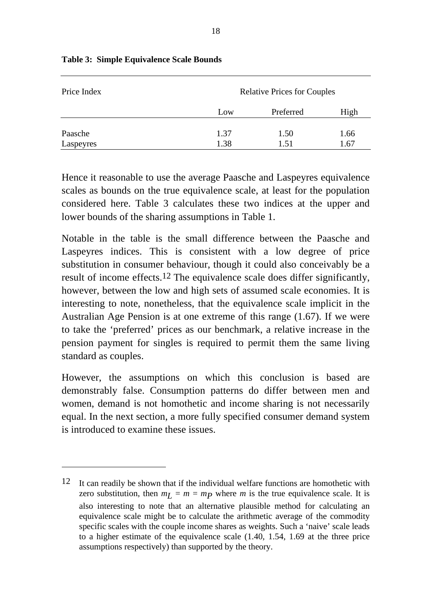| Price Index |      | <b>Relative Prices for Couples</b> |      |
|-------------|------|------------------------------------|------|
|             | Low  | Preferred                          | High |
| Paasche     | 1.37 | 1.50                               | 1.66 |
| Laspeyres   | 1.38 | 1.51                               | 1.67 |

#### **Table 3: Simple Equivalence Scale Bounds**

 $\overline{a}$ 

Hence it reasonable to use the average Paasche and Laspeyres equivalence scales as bounds on the true equivalence scale, at least for the population considered here. Table 3 calculates these two indices at the upper and lower bounds of the sharing assumptions in Table 1.

Notable in the table is the small difference between the Paasche and Laspeyres indices. This is consistent with a low degree of price substitution in consumer behaviour, though it could also conceivably be a result of income effects.12 The equivalence scale does differ significantly, however, between the low and high sets of assumed scale economies. It is interesting to note, nonetheless, that the equivalence scale implicit in the Australian Age Pension is at one extreme of this range (1.67). If we were to take the 'preferred' prices as our benchmark, a relative increase in the pension payment for singles is required to permit them the same living standard as couples.

However, the assumptions on which this conclusion is based are demonstrably false. Consumption patterns do differ between men and women, demand is not homothetic and income sharing is not necessarily equal. In the next section, a more fully specified consumer demand system is introduced to examine these issues.

 $12$  It can readily be shown that if the individual welfare functions are homothetic with zero substitution, then  $m_l = m = mp$  where *m* is the true equivalence scale. It is also interesting to note that an alternative plausible method for calculating an equivalence scale might be to calculate the arithmetic average of the commodity specific scales with the couple income shares as weights. Such a 'naive' scale leads to a higher estimate of the equivalence scale (1.40, 1.54, 1.69 at the three price assumptions respectively) than supported by the theory.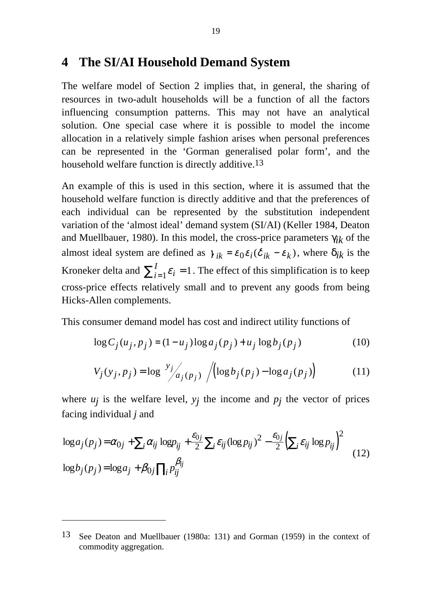## **4 The SI/AI Household Demand System**

The welfare model of Section 2 implies that, in general, the sharing of resources in two-adult households will be a function of all the factors influencing consumption patterns. This may not have an analytical solution. One special case where it is possible to model the income allocation in a relatively simple fashion arises when personal preferences can be represented in the 'Gorman generalised polar form', and the household welfare function is directly additive.<sup>13</sup>

An example of this is used in this section, where it is assumed that the household welfare function is directly additive and that the preferences of each individual can be represented by the substitution independent variation of the 'almost ideal' demand system (SI/AI) (Keller 1984, Deaton and Muellbauer, 1980). In this model, the cross-price parameters γ*ik* of the almost ideal system are defined as  $\gamma_{ik} = \varepsilon_0 \varepsilon_i (\delta_{ik} - \varepsilon_k)$ , where  $\delta_{ik}$  is the Kroneker delta and  $\sum_{i=1}^{I} \varepsilon_i = 1$ . The effect of this simplification is to keep cross-price effects relatively small and to prevent any goods from being Hicks-Allen complements.

This consumer demand model has cost and indirect utility functions of

$$
\log C_j(u_j, p_j) = (1 - u_j) \log a_j(p_j) + u_j \log b_j(p_j)
$$
\n
$$
(10)
$$

$$
V_j(y_j, p_j) = \log \left( \frac{y_j}{a_j(p_j)} \right) / \left( \log b_j(p_j) - \log a_j(p_j) \right) \tag{11}
$$

where  $u_j$  is the welfare level,  $y_j$  the income and  $p_j$  the vector of prices facing individual *j* and

$$
\log a_j(p_j) = \alpha_{0j} + \sum_i \alpha_{ij} \log p_{ij} + \frac{\varepsilon_{0j}}{2} \sum_i \varepsilon_{ij} (\log p_{ij})^2 - \frac{\varepsilon_{0j}}{2} \left( \sum_i \varepsilon_{ij} \log p_{ij} \right)^2
$$
  

$$
\log b_j(p_j) = \log a_j + \beta_{0j} \prod_i p_{ij}^{\beta_{ij}}
$$
 (12)

<sup>13</sup> See Deaton and Muellbauer (1980a: 131) and Gorman (1959) in the context of commodity aggregation.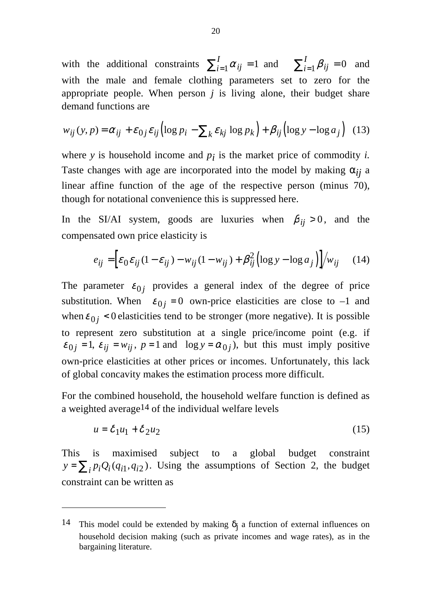with the additional constraints  $\sum_{i=1}^{I} \alpha_{ij} = 1$  and  $\sum_{i=1}^{I} \beta$ *I*  $\sum_{i=1}^{\infty} P_{ij}$  $\sum_{i=1}^{I} \alpha_{ij} = 1$  and  $\sum_{i=1}^{I} \beta_{ij} = 0$  and with the male and female clothing parameters set to zero for the appropriate people. When person *j* is living alone, their budget share demand functions are

$$
w_{ij}(y, p) = \alpha_{ij} + \varepsilon_{0j} \varepsilon_{ij} \left( \log p_i - \sum_k \varepsilon_{kj} \log p_k \right) + \beta_{ij} \left( \log y - \log a_j \right) \tag{13}
$$

where  $y$  is household income and  $p_i$  is the market price of commodity  $i$ . Taste changes with age are incorporated into the model by making  $\alpha_{ij}$  a linear affine function of the age of the respective person (minus 70), though for notational convenience this is suppressed here.

In the SI/AI system, goods are luxuries when  $\beta_{ii} > 0$ , and the compensated own price elasticity is

$$
e_{ij} = \left[\varepsilon_0 \varepsilon_{ij} (1 - \varepsilon_{ij}) - w_{ij} (1 - w_{ij}) + \beta_{ij}^2 \left(\log y - \log a_j\right)\right] / w_{ij} \quad (14)
$$

The parameter  $\varepsilon_{0i}$  provides a general index of the degree of price substitution. When  $\varepsilon_{0j} = 0$  own-price elasticities are close to -1 and when  $\varepsilon_{0i}$  < 0 elasticities tend to be stronger (more negative). It is possible to represent zero substitution at a single price/income point (e.g. if  $\varepsilon_{0i} = 1$ ,  $\varepsilon_{ii} = w_{ii}$ ,  $p = 1$  and  $\log y = \alpha_{0i}$ , but this must imply positive own-price elasticities at other prices or incomes. Unfortunately, this lack of global concavity makes the estimation process more difficult.

For the combined household, the household welfare function is defined as a weighted average<sup>14</sup> of the individual welfare levels

$$
u = \delta_1 u_1 + \delta_2 u_2 \tag{15}
$$

This is maximised subject to a global budget constraint  $y = \sum_i p_i Q_i(q_{i1}, q_{i2})$ . Using the assumptions of Section 2, the budget constraint can be written as

<sup>14</sup> This model could be extended by making  $\delta_j$  a function of external influences on household decision making (such as private incomes and wage rates), as in the bargaining literature.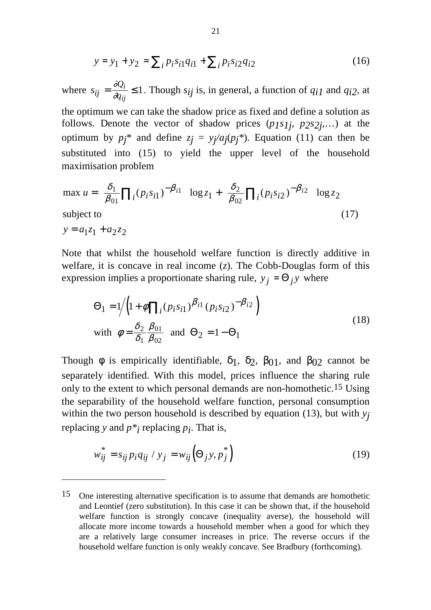$$
y = y_1 + y_2 = \sum_i p_i s_{i1} q_{i1} + \sum_i p_i s_{i2} q_{i2}
$$
 (16)

where  $s_{ij} = \frac{\partial Q}{\partial q}$ . *q i ij*  $=\frac{\tilde{o}Q_i}{2g} \leq$  $\frac{\partial g_i}{\partial q_i}$  ≤ 1. Though *s<sub>ij</sub>* is, in general, a function of *q<sub>i1</sub>* and *q<sub>i2</sub>*, at

the optimum we can take the shadow price as fixed and define a solution as follows. Denote the vector of shadow prices (*p1s1j* , *p2s2j* ,…) at the optimum by  $p_j^*$  and define  $z_j = y_j/a_j(p_j^*)$ . Equation (11) can then be substituted into (15) to yield the upper level of the household maximisation problem

$$
\max u = \left(\frac{\delta_1}{\beta_{01}} \prod_i (p_i s_{i1})^{-\beta_{i1}}\right) \log z_1 + \left(\frac{\delta_2}{\beta_{02}} \prod_i (p_i s_{i2})^{-\beta_{i2}}\right) \log z_2
$$
\nsubject to\n(17)

 $y = a_1 z_1 + a_2 z_2$ 

 $\overline{a}$ 

Note that whilst the household welfare function is directly additive in welfare, it is concave in real income (*z*). The Cobb-Douglas form of this expression implies a proportionate sharing rule,  $y_j = \Theta_j y$  where

$$
\Theta_1 = 1/ \left( 1 + \phi \prod_i (p_i s_{i1})^{\beta_{i1}} (p_i s_{i2})^{-\beta_{i2}} \right)
$$
  
with  $\phi = \frac{\delta_2}{\delta_1} \frac{\beta_{01}}{\beta_{02}}$  and  $\Theta_2 = 1 - \Theta_1$  (18)

Though  $\phi$  is empirically identifiable,  $\delta_1$ ,  $\delta_2$ ,  $\beta_{01}$ , and  $\beta_{02}$  cannot be separately identified. With this model, prices influence the sharing rule only to the extent to which personal demands are non-homothetic.15 Using the separability of the household welfare function, personal consumption within the two person household is described by equation (13), but with *yj* replacing *y* and  $p *_{i}$  replacing  $p_{i}$ . That is,

$$
w_{ij}^* = s_{ij} p_i q_{ij} / y_j = w_{ij} \left(\Theta_j y, p_j^*\right)
$$
\n(19)

<sup>15</sup> One interesting alternative specification is to assume that demands are homothetic and Leontief (zero substitution). In this case it can be shown that, if the household welfare function is strongly concave (inequality averse), the household will allocate more income towards a household member when a good for which they are a relatively large consumer increases in price. The reverse occurs if the household welfare function is only weakly concave. See Bradbury (forthcoming).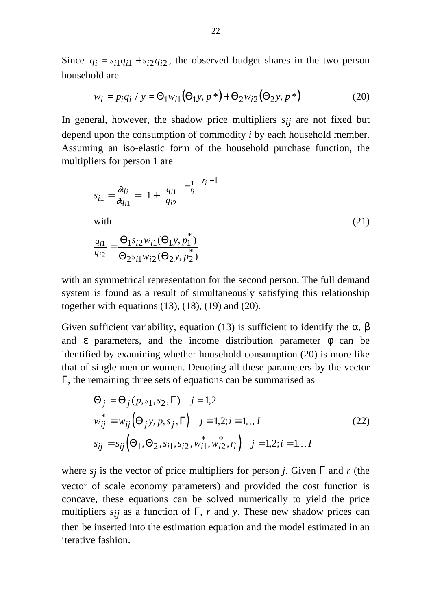Since  $q_i = s_{i1}q_{i1} + s_{i2}q_{i2}$ , the observed budget shares in the two person household are

$$
w_i = p_i q_i / y = \Theta_1 w_{i1} (\Theta_1 y, p^*) + \Theta_2 w_{i2} (\Theta_2 y, p^*)
$$
 (20)

In general, however, the shadow price multipliers  $s_{ij}$  are not fixed but depend upon the consumption of commodity *i* by each household member. Assuming an iso-elastic form of the household purchase function, the multipliers for person 1 are

$$
s_{i1} = \frac{\partial q_i}{\partial q_{i1}} = \left(1 + \left(\frac{q_{i1}}{q_{i2}}\right)^{-\frac{1}{r_i}}\right)^{r_i - 1}
$$
  
with  

$$
\frac{q_{i1}}{q_{i2}} = \frac{\Theta_1 s_{i2} w_{i1} (\Theta_1 y, p_1^*)}{\Theta_2 s_{i1} w_{i2} (\Theta_2 y, p_2^*)}
$$
 (21)

with an symmetrical representation for the second person. The full demand system is found as a result of simultaneously satisfying this relationship together with equations  $(13)$ ,  $(18)$ ,  $(19)$  and  $(20)$ .

Given sufficient variability, equation (13) is sufficient to identify the  $\alpha$ ,  $\beta$ and  $\epsilon$  parameters, and the income distribution parameter  $\phi$  can be identified by examining whether household consumption (20) is more like that of single men or women. Denoting all these parameters by the vector Γ, the remaining three sets of equations can be summarised as

$$
\Theta_j = \Theta_j(p, s_1, s_2, \Gamma) \quad j = 1, 2
$$
  
\n
$$
w_{ij}^* = w_{ij} (\Theta_j y, p, s_j, \Gamma) \quad j = 1, 2; i = 1...I
$$
  
\n
$$
s_{ij} = s_{ij} (\Theta_1, \Theta_2, s_{i1}, s_{i2}, w_{i1}^*, w_{i2}^*, r_i) \quad j = 1, 2; i = 1...I
$$
\n(22)

where *sj* is the vector of price multipliers for person *j*. Given Γ and *r* (the vector of scale economy parameters) and provided the cost function is concave, these equations can be solved numerically to yield the price multipliers  $s_{ij}$  as a function of  $\Gamma$ , *r* and *y*. These new shadow prices can then be inserted into the estimation equation and the model estimated in an iterative fashion.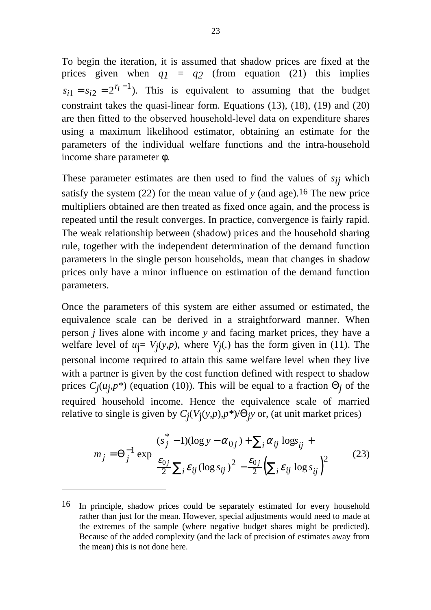To begin the iteration, it is assumed that shadow prices are fixed at the prices given when  $q_1 = q_2$  (from equation (21) this implies  $s_{i1} = s_{i2} = 2^{r_i}$  $=s_{i2}=2^{r_i-1}$ ). This is equivalent to assuming that the budget constraint takes the quasi-linear form. Equations (13), (18), (19) and (20) are then fitted to the observed household-level data on expenditure shares using a maximum likelihood estimator, obtaining an estimate for the parameters of the individual welfare functions and the intra-household income share parameter φ.

These parameter estimates are then used to find the values of *sij* which satisfy the system  $(22)$  for the mean value of *y* (and age).<sup>16</sup> The new price multipliers obtained are then treated as fixed once again, and the process is repeated until the result converges. In practice, convergence is fairly rapid. The weak relationship between (shadow) prices and the household sharing rule, together with the independent determination of the demand function parameters in the single person households, mean that changes in shadow prices only have a minor influence on estimation of the demand function parameters.

Once the parameters of this system are either assumed or estimated, the equivalence scale can be derived in a straightforward manner. When person *j* lives alone with income *y* and facing market prices, they have a welfare level of  $u_j = V_j(y, p)$ , where  $V_j(.)$  has the form given in (11). The personal income required to attain this same welfare level when they live with a partner is given by the cost function defined with respect to shadow prices *Cj* (*uj* ,*p\**) (equation (10))*.* This will be equal to a fraction Θ*j* of the required household income. Hence the equivalence scale of married relative to single is given by *Cj* (*V*j (*y*,*p*),*p\**)/Θ*jy* or, (at unit market prices)

$$
m_j = \Theta_j^{-1} \exp\left(\frac{(s_j^* - 1)(\log y - \alpha_{0j}) + \sum_i \alpha_{ij} \log_{ij} + \frac{\epsilon_{0j}}{2} \sum_i \epsilon_{ij} (\log s_{ij})^2 - \frac{\epsilon_{0j}}{2} (\sum_i \epsilon_{ij} \log s_{ij})^2\right)
$$
(23)

<sup>16</sup> In principle, shadow prices could be separately estimated for every household rather than just for the mean. However, special adjustments would need to made at the extremes of the sample (where negative budget shares might be predicted). Because of the added complexity (and the lack of precision of estimates away from the mean) this is not done here.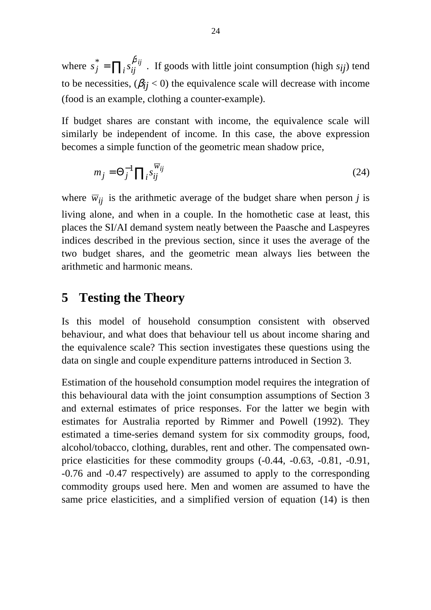where  $s_j^* = \prod_i s_{ij}^{\beta_{ij}}$ . If goods with little joint consumption (high  $s_{ij}$ ) tend to be necessities,  $(\beta_{ij} < 0)$  the equivalence scale will decrease with income (food is an example, clothing a counter-example).

If budget shares are constant with income, the equivalence scale will similarly be independent of income. In this case, the above expression becomes a simple function of the geometric mean shadow price,

$$
m_j = \Theta_j^{-1} \prod_i s_{ij}^{\overline{w}_{ij}}
$$
 (24)

where  $\overline{w}_{ij}$  is the arithmetic average of the budget share when person *j* is living alone, and when in a couple. In the homothetic case at least, this places the SI/AI demand system neatly between the Paasche and Laspeyres indices described in the previous section, since it uses the average of the two budget shares, and the geometric mean always lies between the arithmetic and harmonic means.

## **5 Testing the Theory**

Is this model of household consumption consistent with observed behaviour, and what does that behaviour tell us about income sharing and the equivalence scale? This section investigates these questions using the data on single and couple expenditure patterns introduced in Section 3.

Estimation of the household consumption model requires the integration of this behavioural data with the joint consumption assumptions of Section 3 and external estimates of price responses. For the latter we begin with estimates for Australia reported by Rimmer and Powell (1992). They estimated a time-series demand system for six commodity groups, food, alcohol/tobacco, clothing, durables, rent and other. The compensated ownprice elasticities for these commodity groups (-0.44, -0.63, -0.81, -0.91, -0.76 and -0.47 respectively) are assumed to apply to the corresponding commodity groups used here. Men and women are assumed to have the same price elasticities, and a simplified version of equation (14) is then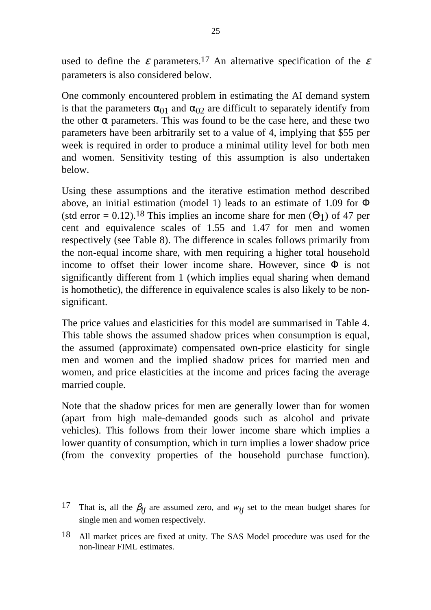used to define the  $\varepsilon$  parameters.<sup>17</sup> An alternative specification of the  $\varepsilon$ parameters is also considered below.

One commonly encountered problem in estimating the AI demand system is that the parameters  $\alpha_{01}$  and  $\alpha_{02}$  are difficult to separately identify from the other  $\alpha$  parameters. This was found to be the case here, and these two parameters have been arbitrarily set to a value of 4, implying that \$55 per week is required in order to produce a minimal utility level for both men and women. Sensitivity testing of this assumption is also undertaken below.

Using these assumptions and the iterative estimation method described above, an initial estimation (model 1) leads to an estimate of 1.09 for Φ (std error = 0.12).<sup>18</sup> This implies an income share for men ( $\Theta$ 1) of 47 per cent and equivalence scales of 1.55 and 1.47 for men and women respectively (see Table 8). The difference in scales follows primarily from the non-equal income share, with men requiring a higher total household income to offset their lower income share. However, since  $\Phi$  is not significantly different from 1 (which implies equal sharing when demand is homothetic), the difference in equivalence scales is also likely to be nonsignificant.

The price values and elasticities for this model are summarised in Table 4. This table shows the assumed shadow prices when consumption is equal, the assumed (approximate) compensated own-price elasticity for single men and women and the implied shadow prices for married men and women, and price elasticities at the income and prices facing the average married couple.

Note that the shadow prices for men are generally lower than for women (apart from high male-demanded goods such as alcohol and private vehicles). This follows from their lower income share which implies a lower quantity of consumption, which in turn implies a lower shadow price (from the convexity properties of the household purchase function).

<sup>17</sup> That is, all the  $\beta_{ij}$  are assumed zero, and  $w_{ij}$  set to the mean budget shares for single men and women respectively.

<sup>18</sup> All market prices are fixed at unity. The SAS Model procedure was used for the non-linear FIML estimates.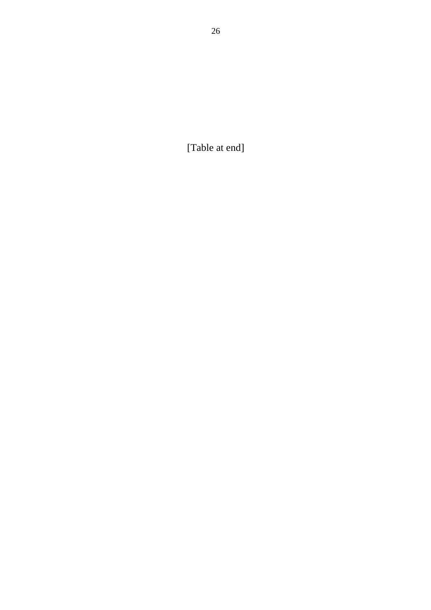[Table at end]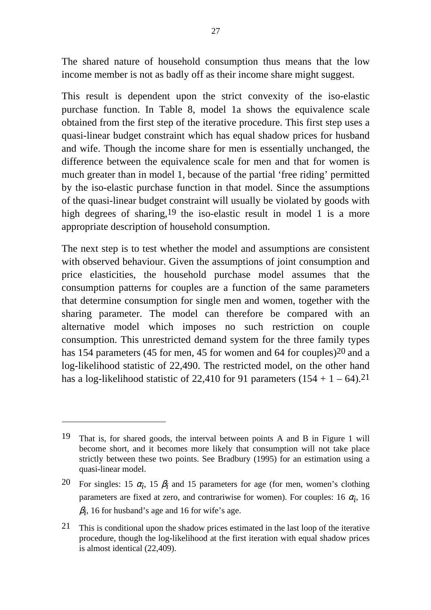The shared nature of household consumption thus means that the low income member is not as badly off as their income share might suggest.

This result is dependent upon the strict convexity of the iso-elastic purchase function. In Table 8, model 1a shows the equivalence scale obtained from the first step of the iterative procedure. This first step uses a quasi-linear budget constraint which has equal shadow prices for husband and wife. Though the income share for men is essentially unchanged, the difference between the equivalence scale for men and that for women is much greater than in model 1, because of the partial 'free riding' permitted by the iso-elastic purchase function in that model. Since the assumptions of the quasi-linear budget constraint will usually be violated by goods with high degrees of sharing,<sup>19</sup> the iso-elastic result in model 1 is a more appropriate description of household consumption.

The next step is to test whether the model and assumptions are consistent with observed behaviour. Given the assumptions of joint consumption and price elasticities, the household purchase model assumes that the consumption patterns for couples are a function of the same parameters that determine consumption for single men and women, together with the sharing parameter. The model can therefore be compared with an alternative model which imposes no such restriction on couple consumption. This unrestricted demand system for the three family types has 154 parameters (45 for men, 45 for women and 64 for couples)<sup>20</sup> and a log-likelihood statistic of 22,490. The restricted model, on the other hand has a log-likelihood statistic of 22,410 for 91 parameters  $(154 + 1 - 64)$ .<sup>21</sup>

<sup>19</sup> That is, for shared goods, the interval between points A and B in Figure 1 will become short, and it becomes more likely that consumption will not take place strictly between these two points. See Bradbury (1995) for an estimation using a quasi-linear model.

<sup>20</sup> For singles: 15  $\alpha_i$ , 15  $\beta_i$  and 15 parameters for age (for men, women's clothing parameters are fixed at zero, and contrariwise for women). For couples: 16  $\alpha_i$ , 16  $\beta_i$ , 16 for husband's age and 16 for wife's age.

<sup>21</sup> This is conditional upon the shadow prices estimated in the last loop of the iterative procedure, though the log-likelihood at the first iteration with equal shadow prices is almost identical (22,409).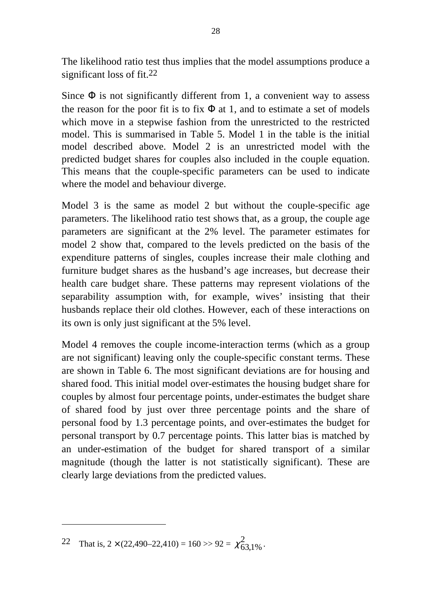The likelihood ratio test thus implies that the model assumptions produce a significant loss of fit.22

Since  $\Phi$  is not significantly different from 1, a convenient way to assess the reason for the poor fit is to fix  $\Phi$  at 1, and to estimate a set of models which move in a stepwise fashion from the unrestricted to the restricted model. This is summarised in Table 5. Model 1 in the table is the initial model described above. Model 2 is an unrestricted model with the predicted budget shares for couples also included in the couple equation. This means that the couple-specific parameters can be used to indicate where the model and behaviour diverge.

Model 3 is the same as model 2 but without the couple-specific age parameters. The likelihood ratio test shows that, as a group, the couple age parameters are significant at the 2% level. The parameter estimates for model 2 show that, compared to the levels predicted on the basis of the expenditure patterns of singles, couples increase their male clothing and furniture budget shares as the husband's age increases, but decrease their health care budget share. These patterns may represent violations of the separability assumption with, for example, wives' insisting that their husbands replace their old clothes. However, each of these interactions on its own is only just significant at the 5% level.

Model 4 removes the couple income-interaction terms (which as a group are not significant) leaving only the couple-specific constant terms. These are shown in Table 6. The most significant deviations are for housing and shared food. This initial model over-estimates the housing budget share for couples by almost four percentage points, under-estimates the budget share of shared food by just over three percentage points and the share of personal food by 1.3 percentage points, and over-estimates the budget for personal transport by 0.7 percentage points. This latter bias is matched by an under-estimation of the budget for shared transport of a similar magnitude (though the latter is not statistically significant). These are clearly large deviations from the predicted values.

<sup>22</sup> That is,  $2 \times (22,490-22,410) = 160 \gg 92 = \chi^2_{63,1\%}$  $,1\%$ .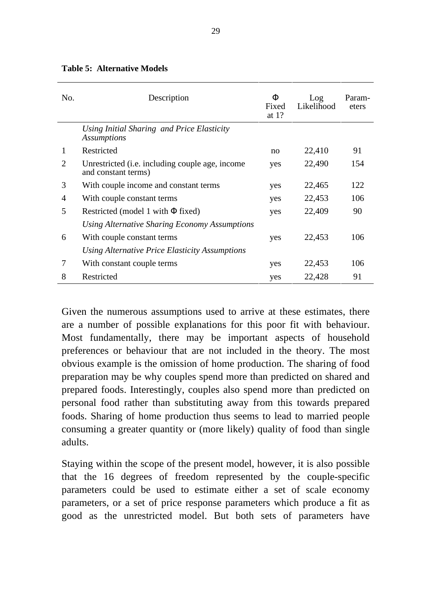| No.                   | Description                                                                    | Ф<br>Fixed<br>at $1?$ | Log<br>Likelihood | Param-<br>eters |
|-----------------------|--------------------------------------------------------------------------------|-----------------------|-------------------|-----------------|
|                       | Using Initial Sharing and Price Elasticity<br><b>Assumptions</b>               |                       |                   |                 |
| 1                     | Restricted                                                                     | no                    | 22,410            | 91              |
| $\mathcal{D}_{\cdot}$ | Unrestricted ( <i>i.e.</i> including couple age, income<br>and constant terms) | yes                   | 22,490            | 154             |
| 3                     | With couple income and constant terms                                          | yes                   | 22,465            | 122             |
| 4                     | With couple constant terms                                                     | yes                   | 22,453            | 106             |
| 5                     | Restricted (model 1 with $\Phi$ fixed)                                         | yes                   | 22,409            | 90              |
|                       | Using Alternative Sharing Economy Assumptions                                  |                       |                   |                 |
| 6                     | With couple constant terms                                                     | yes                   | 22,453            | 106             |
|                       | Using Alternative Price Elasticity Assumptions                                 |                       |                   |                 |
| 7                     | With constant couple terms                                                     | yes                   | 22,453            | 106             |
| 8                     | Restricted                                                                     | yes                   | 22,428            | 91              |

#### **Table 5: Alternative Models**

Given the numerous assumptions used to arrive at these estimates, there are a number of possible explanations for this poor fit with behaviour. Most fundamentally, there may be important aspects of household preferences or behaviour that are not included in the theory. The most obvious example is the omission of home production. The sharing of food preparation may be why couples spend more than predicted on shared and prepared foods. Interestingly, couples also spend more than predicted on personal food rather than substituting away from this towards prepared foods. Sharing of home production thus seems to lead to married people consuming a greater quantity or (more likely) quality of food than single adults.

Staying within the scope of the present model, however, it is also possible that the 16 degrees of freedom represented by the couple-specific parameters could be used to estimate either a set of scale economy parameters, or a set of price response parameters which produce a fit as good as the unrestricted model. But both sets of parameters have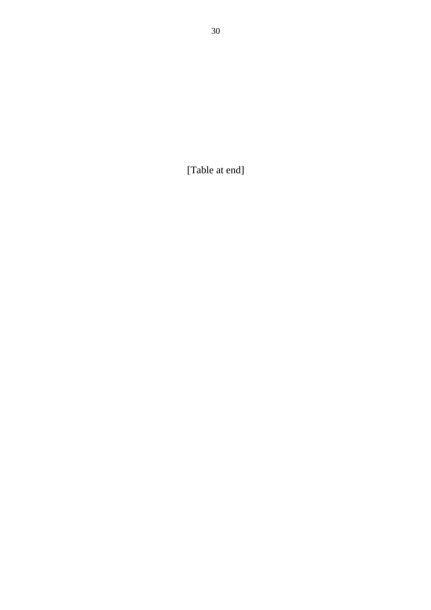[Table at end]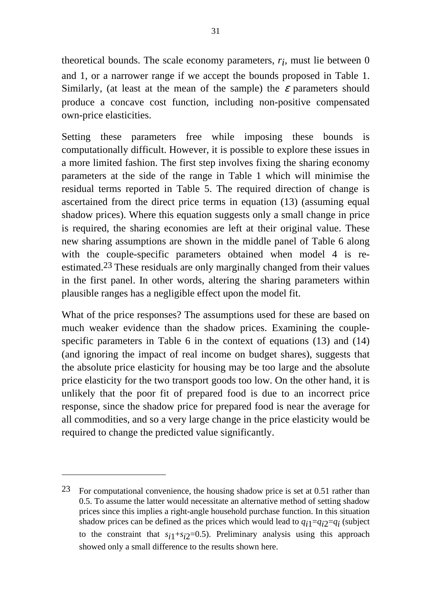theoretical bounds. The scale economy parameters, *ri* , must lie between 0 and 1, or a narrower range if we accept the bounds proposed in Table 1. Similarly, (at least at the mean of the sample) the  $\varepsilon$  parameters should produce a concave cost function, including non-positive compensated own-price elasticities.

Setting these parameters free while imposing these bounds is computationally difficult. However, it is possible to explore these issues in a more limited fashion. The first step involves fixing the sharing economy parameters at the side of the range in Table 1 which will minimise the residual terms reported in Table 5. The required direction of change is ascertained from the direct price terms in equation (13) (assuming equal shadow prices). Where this equation suggests only a small change in price is required, the sharing economies are left at their original value. These new sharing assumptions are shown in the middle panel of Table 6 along with the couple-specific parameters obtained when model 4 is reestimated.23 These residuals are only marginally changed from their values in the first panel. In other words, altering the sharing parameters within plausible ranges has a negligible effect upon the model fit.

What of the price responses? The assumptions used for these are based on much weaker evidence than the shadow prices. Examining the couplespecific parameters in Table 6 in the context of equations (13) and (14) (and ignoring the impact of real income on budget shares), suggests that the absolute price elasticity for housing may be too large and the absolute price elasticity for the two transport goods too low. On the other hand, it is unlikely that the poor fit of prepared food is due to an incorrect price response, since the shadow price for prepared food is near the average for all commodities, and so a very large change in the price elasticity would be required to change the predicted value significantly.

<sup>23</sup> For computational convenience, the housing shadow price is set at 0.51 rather than 0.5. To assume the latter would necessitate an alternative method of setting shadow prices since this implies a right-angle household purchase function. In this situation shadow prices can be defined as the prices which would lead to *qi*1=*qi*2=*qi* (subject to the constraint that  $s_{i1}+s_{i2}=0.5$ ). Preliminary analysis using this approach showed only a small difference to the results shown here.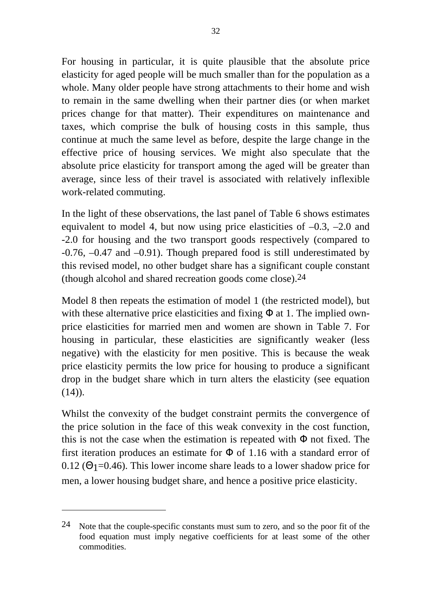For housing in particular, it is quite plausible that the absolute price elasticity for aged people will be much smaller than for the population as a whole. Many older people have strong attachments to their home and wish to remain in the same dwelling when their partner dies (or when market prices change for that matter). Their expenditures on maintenance and taxes, which comprise the bulk of housing costs in this sample, thus continue at much the same level as before, despite the large change in the effective price of housing services. We might also speculate that the absolute price elasticity for transport among the aged will be greater than average, since less of their travel is associated with relatively inflexible work-related commuting.

In the light of these observations, the last panel of Table 6 shows estimates equivalent to model 4, but now using price elasticities of  $-0.3$ ,  $-2.0$  and -2.0 for housing and the two transport goods respectively (compared to -0.76, –0.47 and –0.91). Though prepared food is still underestimated by this revised model, no other budget share has a significant couple constant (though alcohol and shared recreation goods come close).24

Model 8 then repeats the estimation of model 1 (the restricted model), but with these alternative price elasticities and fixing  $\Phi$  at 1. The implied ownprice elasticities for married men and women are shown in Table 7. For housing in particular, these elasticities are significantly weaker (less negative) with the elasticity for men positive. This is because the weak price elasticity permits the low price for housing to produce a significant drop in the budget share which in turn alters the elasticity (see equation  $(14)$ .

Whilst the convexity of the budget constraint permits the convergence of the price solution in the face of this weak convexity in the cost function, this is not the case when the estimation is repeated with  $\Phi$  not fixed. The first iteration produces an estimate for  $\Phi$  of 1.16 with a standard error of 0.12 ( $\Theta$ <sub>1</sub>=0.46). This lower income share leads to a lower shadow price for men, a lower housing budget share, and hence a positive price elasticity.

<sup>&</sup>lt;sup>24</sup> Note that the couple-specific constants must sum to zero, and so the poor fit of the food equation must imply negative coefficients for at least some of the other commodities.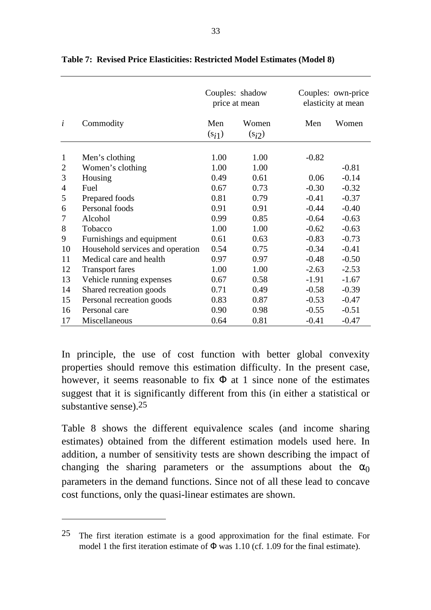|                |                                  |         | Couples: shadow<br>price at mean |         | Couples: own-price<br>elasticity at mean |
|----------------|----------------------------------|---------|----------------------------------|---------|------------------------------------------|
| $\dot{i}$      | Commodity                        | Men     | Women                            | Men     | Women                                    |
|                |                                  | $(s_i)$ | $(s_i)$                          |         |                                          |
| $\mathbf{1}$   | Men's clothing                   | 1.00    | 1.00                             | $-0.82$ |                                          |
| $\overline{2}$ | Women's clothing                 | 1.00    | 1.00                             |         | $-0.81$                                  |
| 3              | Housing                          | 0.49    | 0.61                             | 0.06    | $-0.14$                                  |
| 4              | Fuel                             | 0.67    | 0.73                             | $-0.30$ | $-0.32$                                  |
| 5              | Prepared foods                   | 0.81    | 0.79                             | $-0.41$ | $-0.37$                                  |
| 6              | Personal foods                   | 0.91    | 0.91                             | $-0.44$ | $-0.40$                                  |
| 7              | Alcohol                          | 0.99    | 0.85                             | $-0.64$ | $-0.63$                                  |
| 8              | Tobacco                          | 1.00    | 1.00                             | $-0.62$ | $-0.63$                                  |
| 9              | Furnishings and equipment        | 0.61    | 0.63                             | $-0.83$ | $-0.73$                                  |
| 10             | Household services and operation | 0.54    | 0.75                             | $-0.34$ | $-0.41$                                  |
| 11             | Medical care and health          | 0.97    | 0.97                             | $-0.48$ | $-0.50$                                  |
| 12             | <b>Transport fares</b>           | 1.00    | 1.00                             | $-2.63$ | $-2.53$                                  |
| 13             | Vehicle running expenses         | 0.67    | 0.58                             | $-1.91$ | $-1.67$                                  |
| 14             | Shared recreation goods          | 0.71    | 0.49                             | $-0.58$ | $-0.39$                                  |
| 15             | Personal recreation goods        | 0.83    | 0.87                             | $-0.53$ | $-0.47$                                  |
| 16             | Personal care                    | 0.90    | 0.98                             | $-0.55$ | $-0.51$                                  |
| 17             | Miscellaneous                    | 0.64    | 0.81                             | $-0.41$ | $-0.47$                                  |

**Table 7: Revised Price Elasticities: Restricted Model Estimates (Model 8)**

In principle, the use of cost function with better global convexity properties should remove this estimation difficulty. In the present case, however, it seems reasonable to fix  $\Phi$  at 1 since none of the estimates suggest that it is significantly different from this (in either a statistical or substantive sense).25

Table 8 shows the different equivalence scales (and income sharing estimates) obtained from the different estimation models used here. In addition, a number of sensitivity tests are shown describing the impact of changing the sharing parameters or the assumptions about the  $\alpha_0$ parameters in the demand functions. Since not of all these lead to concave cost functions, only the quasi-linear estimates are shown.

 $25$  The first iteration estimate is a good approximation for the final estimate. For model 1 the first iteration estimate of  $\Phi$  was 1.10 (cf. 1.09 for the final estimate).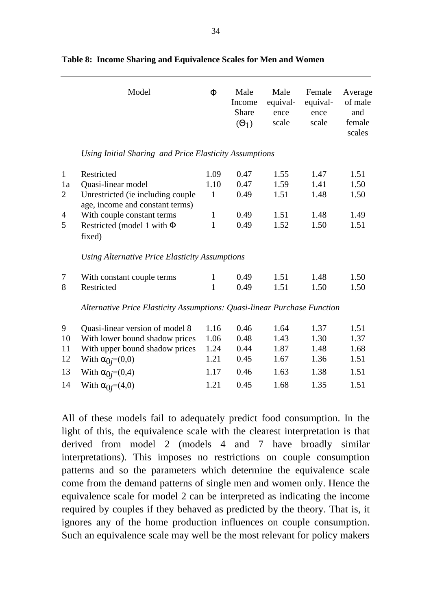|                                                             | Model                                                                                                                                                                                   | $\Phi$                                                       | Male<br>Income<br>Share<br>$(\Theta_1)$      | Male<br>equival-<br>ence<br>scale            | Female<br>equival-<br>ence<br>scale          | Average<br>of male<br>and<br>female<br>scales |
|-------------------------------------------------------------|-----------------------------------------------------------------------------------------------------------------------------------------------------------------------------------------|--------------------------------------------------------------|----------------------------------------------|----------------------------------------------|----------------------------------------------|-----------------------------------------------|
|                                                             | Using Initial Sharing and Price Elasticity Assumptions                                                                                                                                  |                                                              |                                              |                                              |                                              |                                               |
| $\mathbf{1}$<br>1a<br>$\overline{2}$<br>$\overline{4}$<br>5 | Restricted<br>Quasi-linear model<br>Unrestricted (ie including couple<br>age, income and constant terms)<br>With couple constant terms<br>Restricted (model 1 with $\Phi$<br>fixed)     | 1.09<br>1.10<br>$\mathbf{1}$<br>$\mathbf{1}$<br>$\mathbf{1}$ | 0.47<br>0.47<br>0.49<br>0.49<br>0.49         | 1.55<br>1.59<br>1.51<br>1.51<br>1.52         | 1.47<br>1.41<br>1.48<br>1.48<br>1.50         | 1.51<br>1.50<br>1.50<br>1.49<br>1.51          |
|                                                             | Using Alternative Price Elasticity Assumptions                                                                                                                                          |                                                              |                                              |                                              |                                              |                                               |
| 7<br>8                                                      | With constant couple terms<br>Restricted<br>Alternative Price Elasticity Assumptions: Quasi-linear Purchase Function                                                                    | 1<br>$\mathbf{1}$                                            | 0.49<br>0.49                                 | 1.51<br>1.51                                 | 1.48<br>1.50                                 | 1.50<br>1.50                                  |
| 9<br>10<br>11<br>12<br>13<br>14                             | Quasi-linear version of model 8<br>With lower bound shadow prices<br>With upper bound shadow prices<br>With $\alpha_{0j}=(0,0)$<br>With $\alpha_{0j}=(0,4)$<br>With $\alpha_{0j}=(4,0)$ | 1.16<br>1.06<br>1.24<br>1.21<br>1.17<br>1.21                 | 0.46<br>0.48<br>0.44<br>0.45<br>0.46<br>0.45 | 1.64<br>1.43<br>1.87<br>1.67<br>1.63<br>1.68 | 1.37<br>1.30<br>1.48<br>1.36<br>1.38<br>1.35 | 1.51<br>1.37<br>1.68<br>1.51<br>1.51<br>1.51  |

|  | Table 8: Income Sharing and Equivalence Scales for Men and Women |  |
|--|------------------------------------------------------------------|--|
|  |                                                                  |  |

All of these models fail to adequately predict food consumption. In the light of this, the equivalence scale with the clearest interpretation is that derived from model 2 (models 4 and 7 have broadly similar interpretations). This imposes no restrictions on couple consumption patterns and so the parameters which determine the equivalence scale come from the demand patterns of single men and women only. Hence the equivalence scale for model 2 can be interpreted as indicating the income required by couples if they behaved as predicted by the theory. That is, it ignores any of the home production influences on couple consumption. Such an equivalence scale may well be the most relevant for policy makers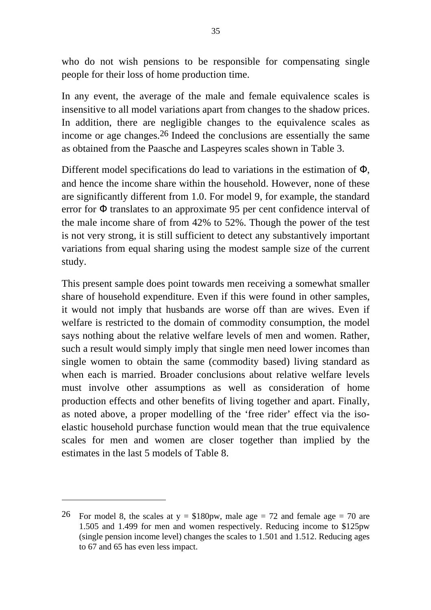who do not wish pensions to be responsible for compensating single people for their loss of home production time.

In any event, the average of the male and female equivalence scales is insensitive to all model variations apart from changes to the shadow prices. In addition, there are negligible changes to the equivalence scales as income or age changes.26 Indeed the conclusions are essentially the same as obtained from the Paasche and Laspeyres scales shown in Table 3.

Different model specifications do lead to variations in the estimation of Φ, and hence the income share within the household. However, none of these are significantly different from 1.0. For model 9, for example, the standard error for Φ translates to an approximate 95 per cent confidence interval of the male income share of from 42% to 52%. Though the power of the test is not very strong, it is still sufficient to detect any substantively important variations from equal sharing using the modest sample size of the current study.

This present sample does point towards men receiving a somewhat smaller share of household expenditure. Even if this were found in other samples, it would not imply that husbands are worse off than are wives. Even if welfare is restricted to the domain of commodity consumption, the model says nothing about the relative welfare levels of men and women. Rather, such a result would simply imply that single men need lower incomes than single women to obtain the same (commodity based) living standard as when each is married. Broader conclusions about relative welfare levels must involve other assumptions as well as consideration of home production effects and other benefits of living together and apart. Finally, as noted above, a proper modelling of the 'free rider' effect via the isoelastic household purchase function would mean that the true equivalence scales for men and women are closer together than implied by the estimates in the last 5 models of Table 8.

<sup>&</sup>lt;sup>26</sup> For model 8, the scales at  $y = $180 \text{pw}$ , male age = 72 and female age = 70 are 1.505 and 1.499 for men and women respectively. Reducing income to \$125pw (single pension income level) changes the scales to 1.501 and 1.512. Reducing ages to 67 and 65 has even less impact.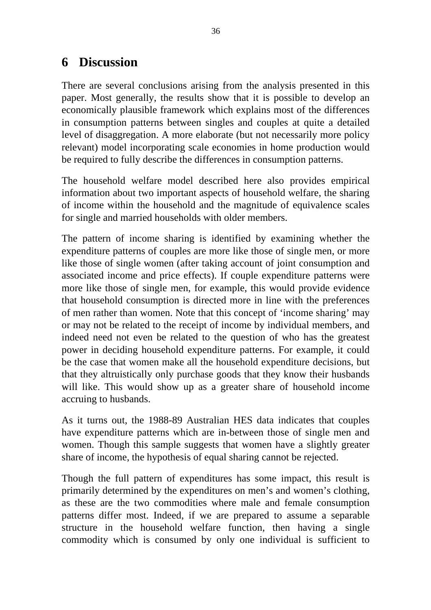## **6 Discussion**

There are several conclusions arising from the analysis presented in this paper. Most generally, the results show that it is possible to develop an economically plausible framework which explains most of the differences in consumption patterns between singles and couples at quite a detailed level of disaggregation. A more elaborate (but not necessarily more policy relevant) model incorporating scale economies in home production would be required to fully describe the differences in consumption patterns.

The household welfare model described here also provides empirical information about two important aspects of household welfare, the sharing of income within the household and the magnitude of equivalence scales for single and married households with older members.

The pattern of income sharing is identified by examining whether the expenditure patterns of couples are more like those of single men, or more like those of single women (after taking account of joint consumption and associated income and price effects). If couple expenditure patterns were more like those of single men, for example, this would provide evidence that household consumption is directed more in line with the preferences of men rather than women. Note that this concept of 'income sharing' may or may not be related to the receipt of income by individual members, and indeed need not even be related to the question of who has the greatest power in deciding household expenditure patterns. For example, it could be the case that women make all the household expenditure decisions, but that they altruistically only purchase goods that they know their husbands will like. This would show up as a greater share of household income accruing to husbands.

As it turns out, the 1988-89 Australian HES data indicates that couples have expenditure patterns which are in-between those of single men and women. Though this sample suggests that women have a slightly greater share of income, the hypothesis of equal sharing cannot be rejected.

Though the full pattern of expenditures has some impact, this result is primarily determined by the expenditures on men's and women's clothing, as these are the two commodities where male and female consumption patterns differ most. Indeed, if we are prepared to assume a separable structure in the household welfare function, then having a single commodity which is consumed by only one individual is sufficient to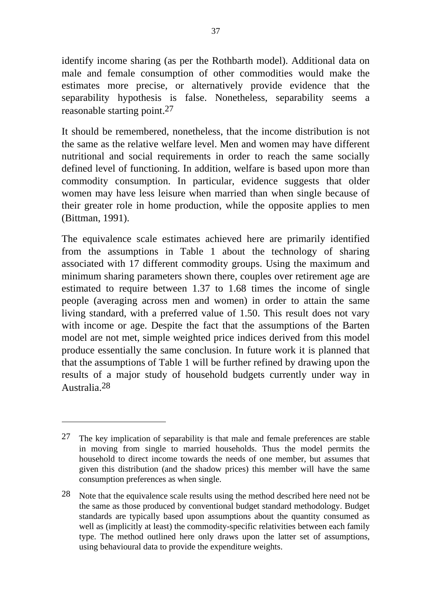identify income sharing (as per the Rothbarth model). Additional data on male and female consumption of other commodities would make the estimates more precise, or alternatively provide evidence that the separability hypothesis is false. Nonetheless, separability seems a reasonable starting point.27

It should be remembered, nonetheless, that the income distribution is not the same as the relative welfare level. Men and women may have different nutritional and social requirements in order to reach the same socially defined level of functioning. In addition, welfare is based upon more than commodity consumption. In particular, evidence suggests that older women may have less leisure when married than when single because of their greater role in home production, while the opposite applies to men (Bittman, 1991).

The equivalence scale estimates achieved here are primarily identified from the assumptions in Table 1 about the technology of sharing associated with 17 different commodity groups. Using the maximum and minimum sharing parameters shown there, couples over retirement age are estimated to require between 1.37 to 1.68 times the income of single people (averaging across men and women) in order to attain the same living standard, with a preferred value of 1.50. This result does not vary with income or age. Despite the fact that the assumptions of the Barten model are not met, simple weighted price indices derived from this model produce essentially the same conclusion. In future work it is planned that that the assumptions of Table 1 will be further refined by drawing upon the results of a major study of household budgets currently under way in Australia.28

<sup>27</sup> The key implication of separability is that male and female preferences are stable in moving from single to married households. Thus the model permits the household to direct income towards the needs of one member, but assumes that given this distribution (and the shadow prices) this member will have the same consumption preferences as when single.

 $28$  Note that the equivalence scale results using the method described here need not be the same as those produced by conventional budget standard methodology. Budget standards are typically based upon assumptions about the quantity consumed as well as (implicitly at least) the commodity-specific relativities between each family type. The method outlined here only draws upon the latter set of assumptions, using behavioural data to provide the expenditure weights.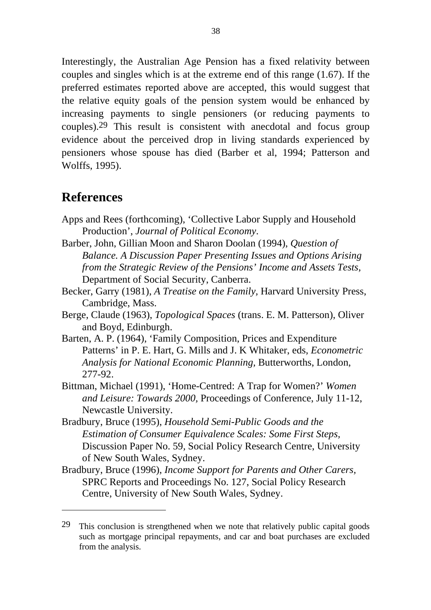Interestingly, the Australian Age Pension has a fixed relativity between couples and singles which is at the extreme end of this range (1.67). If the preferred estimates reported above are accepted, this would suggest that the relative equity goals of the pension system would be enhanced by increasing payments to single pensioners (or reducing payments to couples).29 This result is consistent with anecdotal and focus group evidence about the perceived drop in living standards experienced by pensioners whose spouse has died (Barber et al, 1994; Patterson and Wolffs, 1995).

## **References**

- Apps and Rees (forthcoming), 'Collective Labor Supply and Household Production', *Journal of Political Economy*.
- Barber, John, Gillian Moon and Sharon Doolan (1994), *Question of Balance. A Discussion Paper Presenting Issues and Options Arising from the Strategic Review of the Pensions' Income and Assets Tests,* Department of Social Security, Canberra.
- Becker, Garry (1981), *A Treatise on the Family,* Harvard University Press, Cambridge, Mass.
- Berge, Claude (1963), *Topological Spaces* (trans. E. M. Patterson), Oliver and Boyd, Edinburgh.
- Barten, A. P. (1964), 'Family Composition, Prices and Expenditure Patterns' in P. E. Hart, G. Mills and J. K Whitaker, eds, *Econometric Analysis for National Economic Planning,* Butterworths, London, 277-92.
- Bittman, Michael (1991), 'Home-Centred: A Trap for Women?' *Women and Leisure: Towards 2000,* Proceedings of Conference, July 11-12, Newcastle University.
- Bradbury, Bruce (1995), *Household Semi-Public Goods and the Estimation of Consumer Equivalence Scales: Some First Steps,* Discussion Paper No. 59*,* Social Policy Research Centre, University of New South Wales, Sydney.
- Bradbury, Bruce (1996), *Income Support for Parents and Other Carers,* SPRC Reports and Proceedings No. 127, Social Policy Research Centre, University of New South Wales, Sydney.

<sup>29</sup> This conclusion is strengthened when we note that relatively public capital goods such as mortgage principal repayments, and car and boat purchases are excluded from the analysis.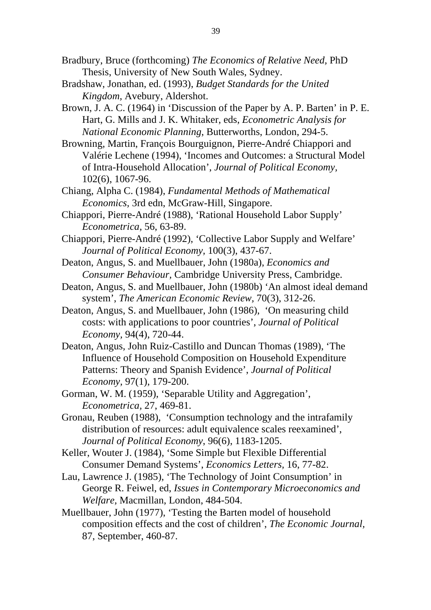- Bradbury, Bruce (forthcoming) *The Economics of Relative Need,* PhD Thesis, University of New South Wales, Sydney.
- Bradshaw, Jonathan, ed. (1993), *Budget Standards for the United Kingdom,* Avebury, Aldershot.
- Brown, J. A. C. (1964) in 'Discussion of the Paper by A. P. Barten' in P. E. Hart, G. Mills and J. K. Whitaker, eds, *Econometric Analysis for National Economic Planning*, Butterworths, London, 294-5.
- Browning, Martin, François Bourguignon, Pierre-André Chiappori and Valérie Lechene (1994), 'Incomes and Outcomes: a Structural Model of Intra-Household Allocation', *Journal of Political Economy,* 102(6), 1067-96.
- Chiang, Alpha C. (1984), *Fundamental Methods of Mathematical Economics,* 3rd edn, McGraw-Hill, Singapore.
- Chiappori, Pierre-André (1988), 'Rational Household Labor Supply' *Econometrica,* 56, 63-89.
- Chiappori, Pierre-André (1992), 'Collective Labor Supply and Welfare' *Journal of Political Economy,* 100(3), 437-67.
- Deaton, Angus, S. and Muellbauer, John (1980a), *Economics and Consumer Behaviour,* Cambridge University Press, Cambridge.
- Deaton, Angus, S. and Muellbauer, John (1980b) 'An almost ideal demand system', *The American Economic Review,* 70(3), 312-26.
- Deaton, Angus, S. and Muellbauer, John (1986), 'On measuring child costs: with applications to poor countries', *Journal of Political Economy,* 94(4), 720-44.
- Deaton, Angus, John Ruiz-Castillo and Duncan Thomas (1989), 'The Influence of Household Composition on Household Expenditure Patterns: Theory and Spanish Evidence', *Journal of Political Economy,* 97(1), 179-200.
- Gorman, W. M. (1959), 'Separable Utility and Aggregation', *Econometrica,* 27, 469-81.
- Gronau, Reuben (1988), 'Consumption technology and the intrafamily distribution of resources: adult equivalence scales reexamined', *Journal of Political Economy*, 96(6), 1183-1205.
- Keller, Wouter J. (1984), 'Some Simple but Flexible Differential Consumer Demand Systems', *Economics Letters,* 16, 77-82.
- Lau, Lawrence J. (1985), 'The Technology of Joint Consumption' in George R. Feiwel, ed, *Issues in Contemporary Microeconomics and Welfare,* Macmillan, London, 484-504.
- Muellbauer, John (1977), 'Testing the Barten model of household composition effects and the cost of children', *The Economic Journal,* 87, September, 460-87.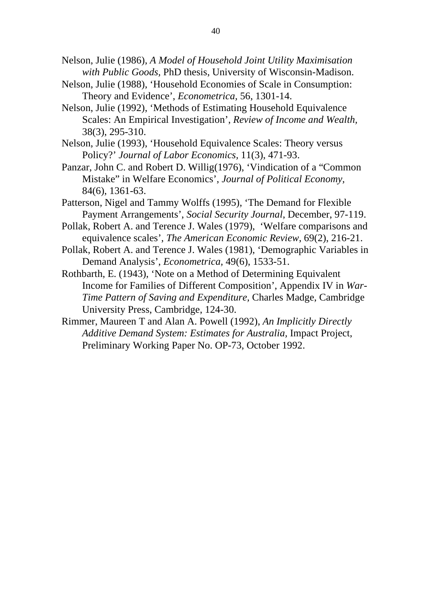- Nelson, Julie (1986), *A Model of Household Joint Utility Maximisation with Public Goods,* PhD thesis, University of Wisconsin-Madison.
- Nelson, Julie (1988), 'Household Economies of Scale in Consumption: Theory and Evidence', *Econometrica,* 56, 1301-14.
- Nelson, Julie (1992), 'Methods of Estimating Household Equivalence Scales: An Empirical Investigation', *Review of Income and Wealth,* 38(3), 295-310.
- Nelson, Julie (1993), 'Household Equivalence Scales: Theory versus Policy?' *Journal of Labor Economics,* 11(3), 471-93.
- Panzar, John C. and Robert D. Willig(1976), 'Vindication of a "Common Mistake" in Welfare Economics', *Journal of Political Economy,* 84(6), 1361-63.
- Patterson, Nigel and Tammy Wolffs (1995), 'The Demand for Flexible Payment Arrangements', *Social Security Journal*, December, 97-119.
- Pollak, Robert A. and Terence J. Wales (1979), 'Welfare comparisons and equivalence scales', *The American Economic Review*, 69(2), 216-21.
- Pollak, Robert A. and Terence J. Wales (1981), 'Demographic Variables in Demand Analysis', *Econometrica,* 49(6), 1533-51.
- Rothbarth, E. (1943), 'Note on a Method of Determining Equivalent Income for Families of Different Composition', Appendix IV in *War-Time Pattern of Saving and Expenditure,* Charles Madge, Cambridge University Press, Cambridge, 124-30.
- Rimmer, Maureen T and Alan A. Powell (1992), *An Implicitly Directly Additive Demand System: Estimates for Australia,* Impact Project, Preliminary Working Paper No. OP-73, October 1992.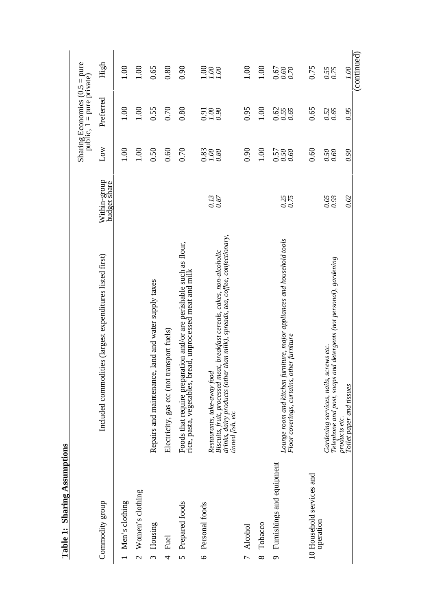| 00.1<br>1.00<br>0.00<br>0.65<br>0.90<br>$rac{0.00}{0.000}$<br>1.00<br>0.75<br>0.80<br>0.55<br>880<br>000<br>000<br>00.7<br>Preferred<br>00.1<br>0.80<br>0.95<br>1.00<br>0.55<br>0.70<br>1.00<br>0.62<br>0.55<br>0.65<br>0.65<br>0.52<br>0.65<br>0.95<br>0.98<br>0.98<br>Low<br>0.90<br>00.1<br>1.00<br>0.50<br>0.70<br>$\frac{880}{100}$<br>0.60<br>0.60<br>00.1<br>$0.50$<br>0.50<br>0.90<br>0.50<br>0.50<br>0.60<br>Within-group<br>budget share<br>$0.13$<br>0.87<br>0.25<br>0.75<br>0.05<br>0.02<br>0.93<br>drinks, dairy products (other than milk), spreads, tea, coffee, confectionary,<br>Lounge room and kitchen furniture, major appliances and household tools<br>Foods that require preparation and/or are perishable such as flour,<br>rice, pasta, vegetables, bread, unprocessed meat and milk<br>Biscuits, fruit, processed meat, breakfast cereals, cakes, non-alcoholic<br>Included commodities (largest expenditures listed first)<br>and detergents (not personal), gardening<br>Repairs and maintenance, land and water supply taxes<br>Electricity, gas etc (not transport fuels)<br>Floor coverings, curtains, other furniture<br>Gardening services, nails, screws etc.<br>Restaurants, take-away food<br>Telephone and post, soaps<br>tinned fish, etc<br>products etc.<br>9 Furnishings and equipment<br>10 Household services and<br>Women's clothing<br>Commodity group<br>1 Men's clothing<br>5 Prepared foods<br>6 Personal foods<br>operation<br>Housing<br>Tobacco<br>7 Alcohol<br>Fuel |                          |  | Sharing Economies $(0.5 =$ pure<br>public, 1 = pure private) |      |
|-------------------------------------------------------------------------------------------------------------------------------------------------------------------------------------------------------------------------------------------------------------------------------------------------------------------------------------------------------------------------------------------------------------------------------------------------------------------------------------------------------------------------------------------------------------------------------------------------------------------------------------------------------------------------------------------------------------------------------------------------------------------------------------------------------------------------------------------------------------------------------------------------------------------------------------------------------------------------------------------------------------------------------------------------------------------------------------------------------------------------------------------------------------------------------------------------------------------------------------------------------------------------------------------------------------------------------------------------------------------------------------------------------------------------------------------------------------------------------------------------------------------------|--------------------------|--|--------------------------------------------------------------|------|
|                                                                                                                                                                                                                                                                                                                                                                                                                                                                                                                                                                                                                                                                                                                                                                                                                                                                                                                                                                                                                                                                                                                                                                                                                                                                                                                                                                                                                                                                                                                         |                          |  |                                                              | High |
|                                                                                                                                                                                                                                                                                                                                                                                                                                                                                                                                                                                                                                                                                                                                                                                                                                                                                                                                                                                                                                                                                                                                                                                                                                                                                                                                                                                                                                                                                                                         |                          |  |                                                              |      |
|                                                                                                                                                                                                                                                                                                                                                                                                                                                                                                                                                                                                                                                                                                                                                                                                                                                                                                                                                                                                                                                                                                                                                                                                                                                                                                                                                                                                                                                                                                                         |                          |  |                                                              |      |
|                                                                                                                                                                                                                                                                                                                                                                                                                                                                                                                                                                                                                                                                                                                                                                                                                                                                                                                                                                                                                                                                                                                                                                                                                                                                                                                                                                                                                                                                                                                         |                          |  |                                                              |      |
|                                                                                                                                                                                                                                                                                                                                                                                                                                                                                                                                                                                                                                                                                                                                                                                                                                                                                                                                                                                                                                                                                                                                                                                                                                                                                                                                                                                                                                                                                                                         |                          |  |                                                              |      |
|                                                                                                                                                                                                                                                                                                                                                                                                                                                                                                                                                                                                                                                                                                                                                                                                                                                                                                                                                                                                                                                                                                                                                                                                                                                                                                                                                                                                                                                                                                                         |                          |  |                                                              |      |
|                                                                                                                                                                                                                                                                                                                                                                                                                                                                                                                                                                                                                                                                                                                                                                                                                                                                                                                                                                                                                                                                                                                                                                                                                                                                                                                                                                                                                                                                                                                         |                          |  |                                                              |      |
|                                                                                                                                                                                                                                                                                                                                                                                                                                                                                                                                                                                                                                                                                                                                                                                                                                                                                                                                                                                                                                                                                                                                                                                                                                                                                                                                                                                                                                                                                                                         |                          |  |                                                              |      |
|                                                                                                                                                                                                                                                                                                                                                                                                                                                                                                                                                                                                                                                                                                                                                                                                                                                                                                                                                                                                                                                                                                                                                                                                                                                                                                                                                                                                                                                                                                                         |                          |  |                                                              |      |
|                                                                                                                                                                                                                                                                                                                                                                                                                                                                                                                                                                                                                                                                                                                                                                                                                                                                                                                                                                                                                                                                                                                                                                                                                                                                                                                                                                                                                                                                                                                         |                          |  |                                                              |      |
|                                                                                                                                                                                                                                                                                                                                                                                                                                                                                                                                                                                                                                                                                                                                                                                                                                                                                                                                                                                                                                                                                                                                                                                                                                                                                                                                                                                                                                                                                                                         |                          |  |                                                              |      |
|                                                                                                                                                                                                                                                                                                                                                                                                                                                                                                                                                                                                                                                                                                                                                                                                                                                                                                                                                                                                                                                                                                                                                                                                                                                                                                                                                                                                                                                                                                                         |                          |  |                                                              |      |
|                                                                                                                                                                                                                                                                                                                                                                                                                                                                                                                                                                                                                                                                                                                                                                                                                                                                                                                                                                                                                                                                                                                                                                                                                                                                                                                                                                                                                                                                                                                         | Toilet paper and tissues |  |                                                              |      |

**Table 1: Sharing Assumptions Table 1: Sharing Assumptions**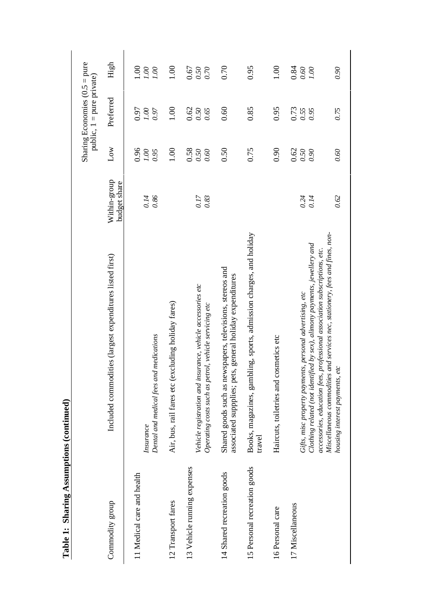|                              |                                                                                                                                                                                                                                                                                                                                         |                              |                              | Sharing Economies $(0.5 = pure$<br>public, 1 = pure private) |                                |
|------------------------------|-----------------------------------------------------------------------------------------------------------------------------------------------------------------------------------------------------------------------------------------------------------------------------------------------------------------------------------------|------------------------------|------------------------------|--------------------------------------------------------------|--------------------------------|
| Commodity group              | Included commodities (largest expenditures listed first)                                                                                                                                                                                                                                                                                | Within-group<br>budget share | $_{\text{Low}}$              | Preferred                                                    | High                           |
| 11 Medical care and health   | Dental and medical fees and medications<br>Insurance                                                                                                                                                                                                                                                                                    | 0.14<br>0.86                 | 0.96<br>0.00<br>0.95         | 0.97<br>0.00<br>0.97                                         | $\frac{8}{10}$<br>001<br>0.00  |
| 12 Transport fares           | Air, bus, rail fares etc (excluding holiday fares)                                                                                                                                                                                                                                                                                      |                              | 1.00                         | 1.00                                                         | 1.00                           |
| 13 Vehicle running expenses  | Vehicle registration and insurance, vehicle accessories etc<br>Operating costs such as petrol, vehicle servicing etc                                                                                                                                                                                                                    | 0.17<br>0.83                 | 0.58<br>0.50<br>0.60         | 0.62<br>0.65<br>0.50                                         | 0.67<br>0.50<br>0.70           |
| 14 Shared recreation goods   | Shared goods such as newspapers, televisions, stereos and<br>associated suppplies; pets, general holiday expenditures                                                                                                                                                                                                                   |                              | 0.50                         | 0.60                                                         | 0.70                           |
| 15 Personal recreation goods | Books, magazines, gambling, sports, admission charges, and holiday<br>travel                                                                                                                                                                                                                                                            |                              | 0.75                         | 0.85                                                         | 0.95                           |
| 16 Personal care             | Haircuts, toiletries and cosmetics etc                                                                                                                                                                                                                                                                                                  |                              | 0.90                         | 0.95                                                         | 1.00                           |
| 17 Miscellaneous             | Miscellaneous commodities and services nec, stationery, fees and fines, non-<br>Clothing related (not identified by sex), alimony payments, jewellery and<br>professional association subscriptions, etc.<br>Gifts, misc property payments, personal advertising, etc<br>housing interest payments, etc<br>accessories, education fees, | 0.62<br>0.24<br>0.14         | 0.62<br>0.60<br>0.50<br>0.90 | 0.73<br>0.55<br>0.75<br>0.95                                 | 0.84<br>0.90<br>$0.60\,$<br>00 |

Table 1: Sharing Assumptions (continued) **Table 1: Sharing Assumptions (continued)**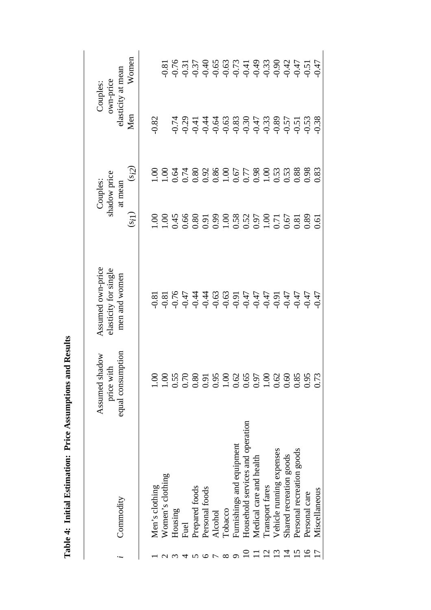|                                  | Assumed shadow           | Assumed own-price     |                                                                                                                                       | Couples:     |                    | <b>Couples:</b>                                                         |
|----------------------------------|--------------------------|-----------------------|---------------------------------------------------------------------------------------------------------------------------------------|--------------|--------------------|-------------------------------------------------------------------------|
|                                  | price with               | elasticity for single |                                                                                                                                       | shadow price |                    | own-price                                                               |
| Commodity                        | mption<br>equal consu    | men and women         |                                                                                                                                       | at mean      | elasticity at mean |                                                                         |
|                                  |                          |                       | $(s_{i})$                                                                                                                             | $(s_i)$      | Men                | Women                                                                   |
|                                  |                          |                       |                                                                                                                                       |              |                    |                                                                         |
| Men's clothing                   | $\widetilde{\mathrm{O}}$ |                       |                                                                                                                                       |              | 0.82               |                                                                         |
| Women's clothing                 | $\sum_{i=1}^{n}$         |                       |                                                                                                                                       |              |                    |                                                                         |
| Housing                          | 0.55                     |                       |                                                                                                                                       |              |                    |                                                                         |
| Fuel                             | 0.70                     |                       |                                                                                                                                       |              |                    |                                                                         |
| Prepared foods                   | 0.80                     |                       |                                                                                                                                       |              |                    |                                                                         |
| Personal foods                   | 0.91                     |                       |                                                                                                                                       |              |                    |                                                                         |
| Alcohol                          | 0.95                     |                       |                                                                                                                                       |              |                    |                                                                         |
| Tobacco                          | 1.0 <sub>C</sub>         |                       |                                                                                                                                       |              |                    |                                                                         |
| Furnishings and equipment        | 0.62                     |                       | $1.08$<br>$0.45$ $0.80$<br>$0.30$<br>$0.50$<br>$0.50$<br>$0.50$<br>$0.50$<br>$0.50$<br>$0.50$<br>$0.50$<br>$0.50$<br>$0.50$<br>$0.50$ |              |                    | 8<br>8 6 6 7 6 6 6 6 7 7 8 8 9 9 7 7 7<br>9 6 7 9 9 9 9 9 9 9 9 9 9 9 9 |
| Household services and operation | 0.65                     |                       |                                                                                                                                       |              |                    |                                                                         |
| Medical care and health          | 0.97                     |                       |                                                                                                                                       |              |                    |                                                                         |
| Transport fares                  | 0.10                     |                       |                                                                                                                                       |              |                    |                                                                         |
| Vehicle running expenses         | 0.62                     |                       |                                                                                                                                       |              |                    |                                                                         |
| Shared recreation goods          | 0.60                     |                       |                                                                                                                                       |              |                    |                                                                         |
| Personal recreation goods        | 0.85                     |                       |                                                                                                                                       |              |                    |                                                                         |
| Personal care                    | 0.95                     |                       |                                                                                                                                       |              |                    |                                                                         |
| Miscellaneous                    | 0.73                     |                       | .6                                                                                                                                    |              |                    |                                                                         |

Table 4: Initial Estimation: Price Assumptions and Results **Table 4: Initial Estimation: Price Assumptions and Results**